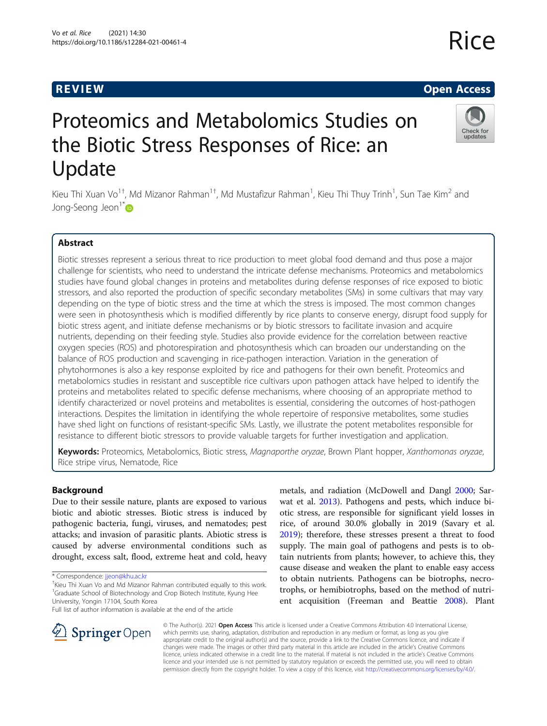# R EVI EW Open Access

# Proteomics and Metabolomics Studies on the Biotic Stress Responses of Rice: an Update

Kieu Thi Xuan Vo $^{1\dagger}$ , Md Mizanor Rahman $^{1\dagger}$ , Md Mustafizur Rahman $^1$ , Kieu Thi Thuy Trinh $^1$ , Sun Tae Kim $^2$  and Jong-Seong Jeon<sup>1[\\*](http://orcid.org/0000-0001-6221-4993)</sup>

# Abstract

Biotic stresses represent a serious threat to rice production to meet global food demand and thus pose a major challenge for scientists, who need to understand the intricate defense mechanisms. Proteomics and metabolomics studies have found global changes in proteins and metabolites during defense responses of rice exposed to biotic stressors, and also reported the production of specific secondary metabolites (SMs) in some cultivars that may vary depending on the type of biotic stress and the time at which the stress is imposed. The most common changes were seen in photosynthesis which is modified differently by rice plants to conserve energy, disrupt food supply for biotic stress agent, and initiate defense mechanisms or by biotic stressors to facilitate invasion and acquire nutrients, depending on their feeding style. Studies also provide evidence for the correlation between reactive oxygen species (ROS) and photorespiration and photosynthesis which can broaden our understanding on the balance of ROS production and scavenging in rice-pathogen interaction. Variation in the generation of phytohormones is also a key response exploited by rice and pathogens for their own benefit. Proteomics and metabolomics studies in resistant and susceptible rice cultivars upon pathogen attack have helped to identify the proteins and metabolites related to specific defense mechanisms, where choosing of an appropriate method to identify characterized or novel proteins and metabolites is essential, considering the outcomes of host-pathogen interactions. Despites the limitation in identifying the whole repertoire of responsive metabolites, some studies have shed light on functions of resistant-specific SMs. Lastly, we illustrate the potent metabolites responsible for resistance to different biotic stressors to provide valuable targets for further investigation and application.

Keywords: Proteomics, Metabolomics, Biotic stress, Magnaporthe oryzae, Brown Plant hopper, Xanthomonas oryzae, Rice stripe virus, Nematode, Rice

# Background

Due to their sessile nature, plants are exposed to various biotic and abiotic stresses. Biotic stress is induced by pathogenic bacteria, fungi, viruses, and nematodes; pest attacks; and invasion of parasitic plants. Abiotic stress is caused by adverse environmental conditions such as drought, excess salt, flood, extreme heat and cold, heavy

metals, and radiation (McDowell and Dangl [2000](#page-14-0); Sarwat et al. [2013](#page-15-0)). Pathogens and pests, which induce biotic stress, are responsible for significant yield losses in rice, of around 30.0% globally in 2019 (Savary et al. [2019](#page-15-0)); therefore, these stresses present a threat to food supply. The main goal of pathogens and pests is to obtain nutrients from plants; however, to achieve this, they cause disease and weaken the plant to enable easy access to obtain nutrients. Pathogens can be biotrophs, necrotrophs, or hemibiotrophs, based on the method of nutrient acquisition (Freeman and Beattie [2008](#page-13-0)). Plant



© The Author(s). 2021 Open Access This article is licensed under a Creative Commons Attribution 4.0 International License, which permits use, sharing, adaptation, distribution and reproduction in any medium or format, as long as you give appropriate credit to the original author(s) and the source, provide a link to the Creative Commons licence, and indicate if changes were made. The images or other third party material in this article are included in the article's Creative Commons licence, unless indicated otherwise in a credit line to the material. If material is not included in the article's Creative Commons licence and your intended use is not permitted by statutory regulation or exceeds the permitted use, you will need to obtain permission directly from the copyright holder. To view a copy of this licence, visit <http://creativecommons.org/licenses/by/4.0/>.



Rice

<sup>\*</sup> Correspondence: [jjeon@khu.ac.kr](mailto:jjeon@khu.ac.kr) †

<sup>&</sup>lt;sup>+</sup>Kieu Thi Xuan Vo and Md Mizanor Rahman contributed equally to this work. <sup>1</sup>Graduate School of Biotechnology and Crop Biotech Institute, Kyung Hee University, Yongin 17104, South Korea

Full list of author information is available at the end of the article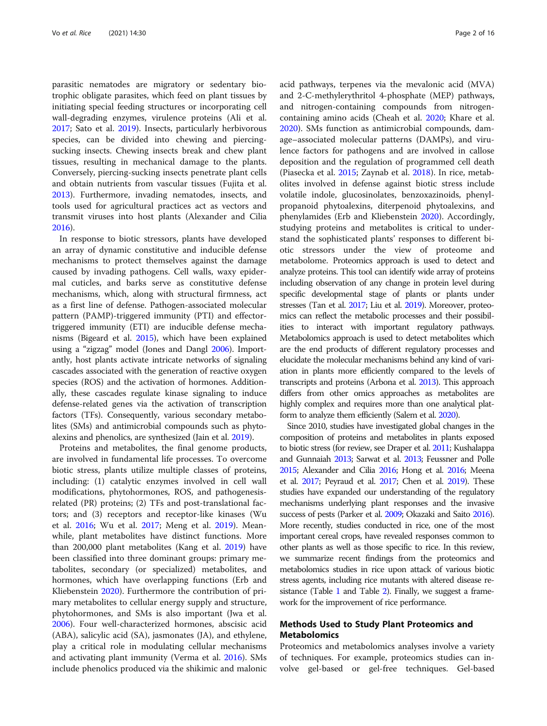parasitic nematodes are migratory or sedentary biotrophic obligate parasites, which feed on plant tissues by initiating special feeding structures or incorporating cell wall-degrading enzymes, virulence proteins (Ali et al. [2017](#page-13-0); Sato et al. [2019](#page-15-0)). Insects, particularly herbivorous species, can be divided into chewing and piercingsucking insects. Chewing insects break and chew plant tissues, resulting in mechanical damage to the plants. Conversely, piercing-sucking insects penetrate plant cells and obtain nutrients from vascular tissues (Fujita et al. [2013](#page-13-0)). Furthermore, invading nematodes, insects, and tools used for agricultural practices act as vectors and transmit viruses into host plants (Alexander and Cilia [2016](#page-13-0)).

In response to biotic stressors, plants have developed an array of dynamic constitutive and inducible defense mechanisms to protect themselves against the damage caused by invading pathogens. Cell walls, waxy epidermal cuticles, and barks serve as constitutive defense mechanisms, which, along with structural firmness, act as a first line of defense. Pathogen-associated molecular pattern (PAMP)-triggered immunity (PTI) and effectortriggered immunity (ETI) are inducible defense mechanisms (Bigeard et al. [2015](#page-13-0)), which have been explained using a "zigzag" model (Jones and Dangl [2006\)](#page-13-0). Importantly, host plants activate intricate networks of signaling cascades associated with the generation of reactive oxygen species (ROS) and the activation of hormones. Additionally, these cascades regulate kinase signaling to induce defense-related genes via the activation of transcription factors (TFs). Consequently, various secondary metabolites (SMs) and antimicrobial compounds such as phytoalexins and phenolics, are synthesized (Jain et al. [2019\)](#page-13-0).

Proteins and metabolites, the final genome products, are involved in fundamental life processes. To overcome biotic stress, plants utilize multiple classes of proteins, including: (1) catalytic enzymes involved in cell wall modifications, phytohormones, ROS, and pathogenesisrelated (PR) proteins; (2) TFs and post-translational factors; and (3) receptors and receptor-like kinases (Wu et al. [2016;](#page-15-0) Wu et al. [2017;](#page-15-0) Meng et al. [2019\)](#page-14-0). Meanwhile, plant metabolites have distinct functions. More than 200,000 plant metabolites (Kang et al. [2019\)](#page-13-0) have been classified into three dominant groups: primary metabolites, secondary (or specialized) metabolites, and hormones, which have overlapping functions (Erb and Kliebenstein [2020\)](#page-13-0). Furthermore the contribution of primary metabolites to cellular energy supply and structure, phytohormones, and SMs is also important (Jwa et al. [2006](#page-13-0)). Four well-characterized hormones, abscisic acid (ABA), salicylic acid (SA), jasmonates (JA), and ethylene, play a critical role in modulating cellular mechanisms and activating plant immunity (Verma et al. [2016\)](#page-15-0). SMs include phenolics produced via the shikimic and malonic acid pathways, terpenes via the mevalonic acid (MVA) and 2-C-methylerythritol 4-phosphate (MEP) pathways, and nitrogen-containing compounds from nitrogencontaining amino acids (Cheah et al. [2020](#page-13-0); Khare et al. [2020](#page-13-0)). SMs function as antimicrobial compounds, damage–associated molecular patterns (DAMPs), and virulence factors for pathogens and are involved in callose deposition and the regulation of programmed cell death (Piasecka et al. [2015](#page-14-0); Zaynab et al. [2018](#page-15-0)). In rice, metabolites involved in defense against biotic stress include volatile indole, glucosinolates, benzoxazinoids, phenylpropanoid phytoalexins, diterpenoid phytoalexins, and phenylamides (Erb and Kliebenstein [2020\)](#page-13-0). Accordingly, studying proteins and metabolites is critical to understand the sophisticated plants' responses to different biotic stressors under the view of proteome and metabolome. Proteomics approach is used to detect and analyze proteins. This tool can identify wide array of proteins including observation of any change in protein level during specific developmental stage of plants or plants under stresses (Tan et al. [2017](#page-15-0); Liu et al. [2019](#page-14-0)). Moreover, proteomics can reflect the metabolic processes and their possibilities to interact with important regulatory pathways. Metabolomics approach is used to detect metabolites which are the end products of different regulatory processes and elucidate the molecular mechanisms behind any kind of variation in plants more efficiently compared to the levels of transcripts and proteins (Arbona et al. [2013\)](#page-13-0). This approach differs from other omics approaches as metabolites are highly complex and requires more than one analytical platform to analyze them efficiently (Salem et al. [2020](#page-15-0)).

Since 2010, studies have investigated global changes in the composition of proteins and metabolites in plants exposed to biotic stress (for review, see Draper et al. [2011;](#page-13-0) Kushalappa and Gunnaiah [2013;](#page-14-0) Sarwat et al. [2013;](#page-15-0) Feussner and Polle [2015](#page-13-0); Alexander and Cilia [2016](#page-13-0); Hong et al. [2016;](#page-13-0) Meena et al. [2017](#page-14-0); Peyraud et al. [2017;](#page-14-0) Chen et al. [2019](#page-13-0)). These studies have expanded our understanding of the regulatory mechanisms underlying plant responses and the invasive success of pests (Parker et al. [2009;](#page-14-0) Okazaki and Saito [2016\)](#page-14-0). More recently, studies conducted in rice, one of the most important cereal crops, have revealed responses common to other plants as well as those specific to rice. In this review, we summarize recent findings from the proteomics and metabolomics studies in rice upon attack of various biotic stress agents, including rice mutants with altered disease re-sistance (Table [1](#page-2-0) and Table [2](#page-4-0)). Finally, we suggest a framework for the improvement of rice performance.

# Methods Used to Study Plant Proteomics and Metabolomics

Proteomics and metabolomics analyses involve a variety of techniques. For example, proteomics studies can involve gel-based or gel-free techniques. Gel-based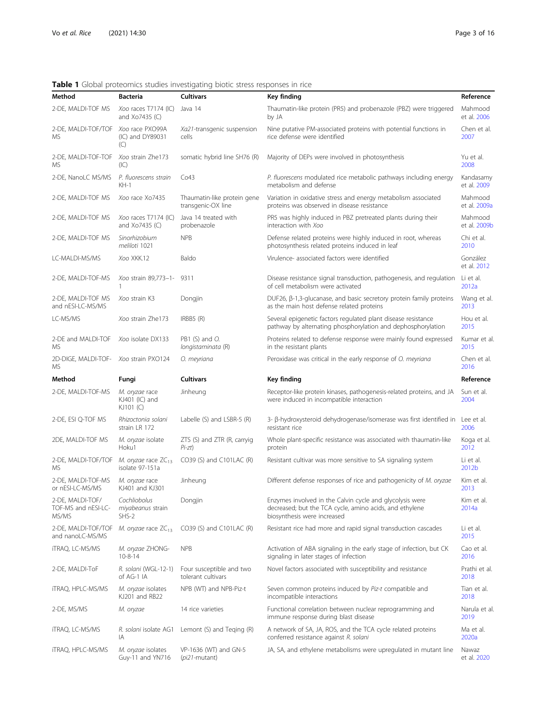<span id="page-2-0"></span>

| Table 1 Global proteomics studies investigating biotic stress responses in rice |  |  |  |
|---------------------------------------------------------------------------------|--|--|--|
|                                                                                 |  |  |  |

| Method                                       | <b>Bacteria</b>                               | <b>Cultivars</b>                                  | Key finding                                                                                                                                        | Reference                |
|----------------------------------------------|-----------------------------------------------|---------------------------------------------------|----------------------------------------------------------------------------------------------------------------------------------------------------|--------------------------|
| 2-DE, MALDI-TOF MS                           | Xoo races T7174 (IC)<br>and Xo7435 (C)        | Java 14                                           | Thaumatin-like protein (PR5) and probenazole (PBZ) were triggered<br>by JA                                                                         | Mahmood<br>et al. 2006   |
| 2-DE, MALDI-TOF/TOF<br>MS                    | Xoo race PXO99A<br>(IC) and DY89031<br>(C)    | Xa21-transgenic suspension<br>cells               | Nine putative PM-associated proteins with potential functions in<br>rice defense were identified                                                   | Chen et al.<br>2007      |
| 2-DE, MALDI-TOF-TOF<br>МS                    | Xoo strain Zhe173<br>(IC)                     | somatic hybrid line SH76 (R)                      | Majority of DEPs were involved in photosynthesis                                                                                                   | Yu et al.<br>2008        |
| 2-DE, NanoLC MS/MS                           | P. fluorescens strain<br>$KH-1$               | Co43                                              | P. fluorescens modulated rice metabolic pathways including energy<br>metabolism and defense                                                        | Kandasamy<br>et al. 2009 |
| 2-DE, MALDI-TOF MS                           | Xoo race Xo7435                               | Thaumatin-like protein gene<br>transgenic-OX line | Variation in oxidative stress and energy metabolism associated<br>proteins was observed in disease resistance                                      | Mahmood<br>et al. 2009a  |
| 2-DE, MALDI-TOF MS                           | Xoo races T7174 (IC)<br>and Xo7435 (C)        | Java 14 treated with<br>probenazole               | PR5 was highly induced in PBZ pretreated plants during their<br>interaction with Xoo                                                               | Mahmood<br>et al. 2009b  |
| 2-DE, MALDI-TOF MS                           | Sinorhizobium<br>meliloti 1021                | <b>NPB</b>                                        | Defense related proteins were highly induced in root, whereas<br>photosynthesis related proteins induced in leaf                                   | Chi et al.<br>2010       |
| LC-MALDI-MS/MS                               | Xoo XKK.12                                    | Baldo                                             | Virulence- associated factors were identified                                                                                                      | González<br>et al. 2012  |
| 2-DE, MALDI-TOF-MS                           | Xoo strain 89,773-1-<br>1                     | 9311                                              | Disease resistance signal transduction, pathogenesis, and regulation<br>of cell metabolism were activated                                          | Li et al.<br>2012a       |
| 2-DE, MALDI-TOF MS<br>and nESI-LC-MS/MS      | Xoo strain K3                                 | Dongjin                                           | DUF26, $\beta$ -1,3-glucanase, and basic secretory protein family proteins<br>as the main host defense related proteins                            | Wang et al.<br>2013      |
| LC-MS/MS                                     | Xoo strain Zhe173                             | IRBB5 (R)                                         | Several epigenetic factors regulated plant disease resistance<br>pathway by alternating phosphorylation and dephosphorylation                      | Hou et al.<br>2015       |
| 2-DE and MALDI-TOF<br>MS                     | Xoo isolate DX133                             | PB1 (S) and O.<br>longistaminata (R)              | Proteins related to defense response were mainly found expressed<br>in the resistant plants                                                        | Kumar et al.<br>2015     |
| 2D-DIGE, MALDI-TOF- Xoo strain PXO124<br>MS. |                                               | O. meyriana                                       | Peroxidase was critical in the early response of O. meyriana                                                                                       | Chen et al.<br>2016      |
| Method                                       | Fungi                                         | <b>Cultivars</b>                                  | Key finding                                                                                                                                        | Reference                |
| 2-DE, MALDI-TOF-MS                           | M. oryzae race<br>KJ401 (IC) and<br>KJ101 (C) | Jinheung                                          | Receptor-like protein kinases, pathogenesis-related proteins, and JA<br>were induced in incompatible interaction                                   | Sun et al.<br>2004       |
| 2-DE, ESI Q-TOF MS                           | Rhizoctonia solani<br>strain LR 172           | Labelle (S) and LSBR-5 (R)                        | 3- β-hydroxysteroid dehydrogenase/isomerase was first identified in Lee et al.<br>resistant rice                                                   | 2006                     |
| 2DE, MALDI-TOF MS                            | M. oryzae isolate<br>Hoku1                    | ZTS (S) and ZTR (R, carryig<br>$Pi-zt)$           | Whole plant-specific resistance was associated with thaumatin-like<br>protein                                                                      | Koga et al.<br>2012      |
| 2-DE, MALDI-TOF/TOF<br>MS                    | M. oryzae race $ZC_{13}$<br>isolate 97-151a   | CO39 (S) and C101LAC (R)                          | Resistant cultivar was more sensitive to SA signaling system                                                                                       | Li et al.<br>2012b       |
| 2-DE, MALDI-TOF-MS<br>or nESI-LC-MS/MS       | M. oryzae race<br>KJ401 and KJ301             | Jinheung                                          | Different defense responses of rice and pathogenicity of M. oryzae                                                                                 | Kim et al.               |
| 2-DE, MALDI-TOF/                             |                                               |                                                   |                                                                                                                                                    | 2013                     |
| TOF-MS and nESI-LC-<br>MS/MS                 | Cochliobolus<br>miyabeanus strain<br>SHS-2    | Dongjin                                           | Enzymes involved in the Calvin cycle and glycolysis were<br>decreased; but the TCA cycle, amino acids, and ethylene<br>biosynthesis were increased | Kim et al.<br>2014a      |
| 2-DE, MALDI-TOF/TOF<br>and nanoLC-MS/MS      | M. oryzae race $ZC_{13}$                      | CO39 (S) and C101LAC (R)                          | Resistant rice had more and rapid signal transduction cascades                                                                                     | Li et al.<br>2015        |
| itraq, LC-MS/MS                              | M. oryzae ZHONG-<br>$10-8-14$                 | <b>NPB</b>                                        | Activation of ABA signaling in the early stage of infection, but CK<br>signaling in later stages of infection                                      | Cao et al.<br>2016       |
| 2-DE, MALDI-ToF                              | R. solani (WGL-12-1)<br>of AG-1 IA            | Four susceptible and two<br>tolerant cultivars    | Novel factors associated with susceptibility and resistance                                                                                        | Prathi et al.<br>2018    |
| <b>iTRAQ, HPLC-MS/MS</b>                     | M. oryzae isolates<br>KJ201 and RB22          | NPB (WT) and NPB-Piz-t                            | Seven common proteins induced by Piz-t compatible and<br>incompatible interactions                                                                 | Tian et al.<br>2018      |
| 2-DE, MS/MS                                  | M. oryzae                                     | 14 rice varieties                                 | Functional correlation between nuclear reprogramming and<br>immune response during blast disease                                                   | Narula et al.<br>2019    |
| itraq, LC-MS/MS                              | R. solani isolate AG1<br>IA                   | Lemont (S) and Teging (R)                         | A network of SA, JA, ROS, and the TCA cycle related proteins<br>conferred resistance against R. solani                                             | Ma et al.<br>2020a       |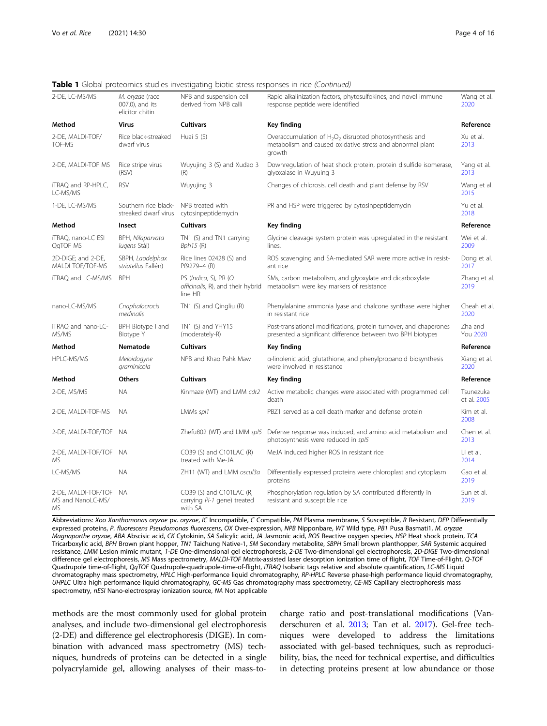## **Table 1** Global proteomics studies investigating biotic stress responses in rice (Continued)

| 2-DE, LC-MS/MS                                 | M. oryzae (race<br>007.0), and its<br>elicitor chitin | NPB and suspension cell<br>derived from NPB calli                      | Rapid alkalinization factors, phytosulfokines, and novel immune<br>response peptide were identified                               | Wang et al.<br>2020        |
|------------------------------------------------|-------------------------------------------------------|------------------------------------------------------------------------|-----------------------------------------------------------------------------------------------------------------------------------|----------------------------|
| Method                                         | <b>Virus</b>                                          | <b>Cultivars</b>                                                       | Key finding                                                                                                                       | Reference                  |
| 2-DE, MALDI-TOF/<br>TOF-MS                     | Rice black-streaked<br>dwarf virus                    | Huai 5 (S)                                                             | Overaccumulation of $H_2O_2$ disrupted photosynthesis and<br>metabolism and caused oxidative stress and abnormal plant<br>growth  | Xu et al.<br>2013          |
| 2-DE, MALDI-TOF MS                             | Rice stripe virus<br>(RSV)                            | Wuyujing 3 (S) and Xudao 3<br>(R)                                      | Downregulation of heat shock protein, protein disulfide isomerase,<br>glyoxalase in Wuyuing 3                                     | Yang et al.<br>2013        |
| iTRAQ and RP-HPLC,<br>LC-MS/MS                 | <b>RSV</b>                                            | Wuyujing 3                                                             | Changes of chlorosis, cell death and plant defense by RSV                                                                         | Wang et al.<br>2015        |
| 1-DE, LC-MS/MS                                 | Southern rice black-<br>streaked dwarf virus          | NPB treated with<br>cytosinpeptidemycin                                | PR and HSP were triggered by cytosinpeptidemycin                                                                                  | Yu et al.<br>2018          |
| Method                                         | Insect                                                | <b>Cultivars</b>                                                       | Key finding                                                                                                                       | Reference                  |
| iTRAQ, nano-LC ESI<br>QqTOF MS                 | BPH, Nilaparvata<br>lugens Stål)                      | TN1 (S) and TN1 carrying<br>$Bph15$ (R)                                | Glycine cleavage system protein was upregulated in the resistant<br>lines.                                                        | Wei et al.<br>2009         |
| 2D-DIGE; and 2-DE,<br>MALDI TOF/TOF-MS         | SBPH, Laodelphax<br>striatellus Fallén)               | Rice lines 02428 (S) and<br>Pf9279-4 (R)                               | ROS scavenging and SA-mediated SAR were more active in resist-<br>ant rice                                                        | Dong et al.<br>2017        |
| iTRAQ and LC-MS/MS                             | <b>BPH</b>                                            | PS (Indica, S), PR (O.<br>officinalis, R), and their hybrid<br>line HR | SMs, carbon metabolism, and glyoxylate and dicarboxylate<br>metabolism were key markers of resistance                             | Zhang et al<br>2019        |
| nano-LC-MS/MS                                  | Cnaphalocrocis<br>medinalis                           | TN1 (S) and Qingliu (R)                                                | Phenylalanine ammonia lyase and chalcone synthase were higher<br>in resistant rice                                                | Cheah et al<br>2020        |
| iTRAQ and nano-LC-<br>MS/MS                    | BPH Biotype I and<br>Biotype Y                        | TN1 (S) and YHY15<br>(moderately-R)                                    | Post-translational modifications, protein turnover, and chaperones<br>presented a significant difference between two BPH biotypes | Zha and<br><b>You 2020</b> |
| Method                                         | Nematode                                              | <b>Cultivars</b>                                                       | Key finding                                                                                                                       | Reference                  |
| HPLC-MS/MS                                     | Meloidogyne<br>graminicola                            | NPB and Khao Pahk Maw                                                  | a-linolenic acid, glutathione, and phenylpropanoid biosynthesis<br>were involved in resistance                                    | Xiang et al.<br>2020       |
| Method                                         | Others                                                | <b>Cultivars</b>                                                       | Key finding                                                                                                                       | Reference                  |
| 2-DE, MS/MS                                    | <b>NA</b>                                             | Kinmaze (WT) and LMM cdr2                                              | Active metabolic changes were associated with programmed cell<br>death                                                            | Tsunezuka<br>et al. 2005   |
| 2-DE, MALDI-TOF-MS                             | <b>NA</b>                                             | LMMs spl1                                                              | PBZ1 served as a cell death marker and defense protein                                                                            | Kim et al.<br>2008         |
| 2-DE, MALDI-TOF/TOF NA                         |                                                       | Zhefu802 (WT) and LMM spl5                                             | Defense response was induced, and amino acid metabolism and<br>photosynthesis were reduced in spl5                                | Chen et al.<br>2013        |
| 2-DE, MALDI-TOF/TOF NA<br>МS                   |                                                       | CO39 (S) and C101LAC (R)<br>treated with Me-JA                         | MeJA induced higher ROS in resistant rice                                                                                         | Li et al.<br>2014          |
| LC-MS/MS                                       | <b>NA</b>                                             | ZH11 (WT) and LMM oscul3a                                              | Differentially expressed proteins were chloroplast and cytoplasm<br>proteins                                                      |                            |
| 2-DE, MALDI-TOF/TOF<br>MS and NanoLC-MS/<br>MS | - NA                                                  | CO39 (S) and C101LAC (R,<br>carrying Pi-1 gene) treated<br>with SA     | Phosphorylation regulation by SA contributed differently in<br>resistant and susceptible rice                                     | Sun et al.<br>2019         |

Abbreviations: Xoo Xanthomonas oryzae pv. oryzae, IC Incompatible, C Compatible, PM Plasma membrane, S Susceptible, R Resistant, DEP Differentially expressed proteins, P. fluorescens Pseudomonas fluorescens, OX Over-expression, NPB Nipponbare, WT Wild type, PB1 Pusa Basmati1, M. oryzae Magnaporthe oryzae, ABA Abscisic acid, CK Cytokinin, SA Salicylic acid, JA Jasmonic acid, ROS Reactive oxygen species, HSP Heat shock protein, TCA Tricarboxylic acid, BPH Brown plant hopper, TN1 Taichung Native-1, SM Secondary metabolite, SBPH Small brown planthopper, SAR Systemic acquired resistance, LMM Lesion mimic mutant, 1-DE One-dimensional gel electrophoresis, 2-DE Two-dimensional gel electrophoresis, 2D-DIGE Two-dimensional difference gel electrophoresis, MS Mass spectrometry, MALDI-TOF Matrix-assisted laser desorption ionization time of flight, TOF Time-of-Flight, Q-TOF Quadrupole time-of-flight, QqTOF Quadrupole-quadrupole-time-of-flight, iTRAQ Isobaric tags relative and absolute quantification, LC-MS Liquid chromatography mass spectrometry, HPLC High-performance liquid chromatography, RP-HPLC Reverse phase-high performance liquid chromatography, UHPLC Ultra high performance liquid chromatography, GC-MS Gas chromatography mass spectrometry, CE-MS Capillary electrophoresis mass spectrometry, nESI Nano-electrospray ionization source, NA Not applicable

methods are the most commonly used for global protein analyses, and include two-dimensional gel electrophoresis (2-DE) and difference gel electrophoresis (DIGE). In combination with advanced mass spectrometry (MS) techniques, hundreds of proteins can be detected in a single polyacrylamide gel, allowing analyses of their mass-to-

charge ratio and post-translational modifications (Vanderschuren et al. [2013;](#page-15-0) Tan et al. [2017](#page-15-0)). Gel-free techniques were developed to address the limitations associated with gel-based techniques, such as reproducibility, bias, the need for technical expertise, and difficulties in detecting proteins present at low abundance or those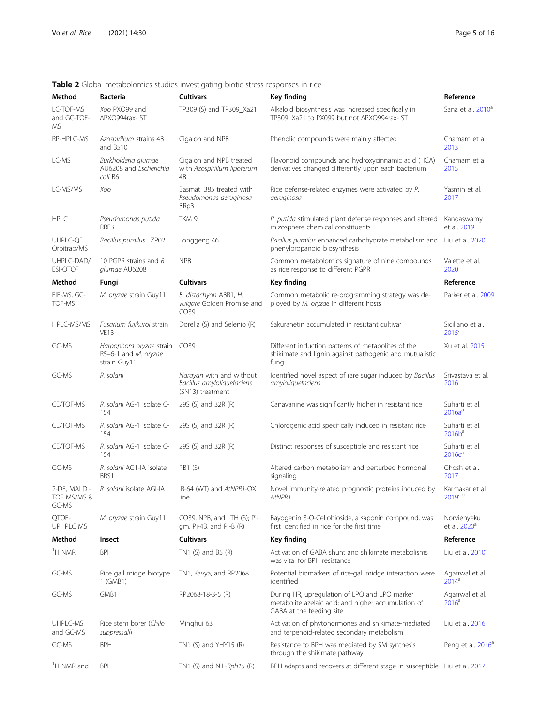<span id="page-4-0"></span>Table 2 Global metabolomics studies investigating biotic stress responses in rice

| Method                               | <b>Bacteria</b>                                                  | <b>Cultivars</b>                                                           | Key finding                                                                                                                      | Reference                               |
|--------------------------------------|------------------------------------------------------------------|----------------------------------------------------------------------------|----------------------------------------------------------------------------------------------------------------------------------|-----------------------------------------|
| LC-TOF-MS<br>and GC-TOF-<br>MS       | Xoo PXO99 and<br>∆PXO994rax- ST                                  | TP309 (S) and TP309_Xa21                                                   | Alkaloid biosynthesis was increased specifically in<br>TP309_Xa21 to PX099 but not APXO994rax- ST                                | Sana et al. 2010 <sup>a</sup>           |
| RP-HPLC-MS                           | Azospirillum strains 4B<br>and B510                              | Cigalon and NPB                                                            | Phenolic compounds were mainly affected                                                                                          | Chamam et al.<br>2013                   |
| LC-MS                                | Burkholderia glumae<br>AU6208 and Escherichia<br>coli B6         | Cigalon and NPB treated<br>with Azospirillum lipoferum<br>4 <sub>B</sub>   | Flavonoid compounds and hydroxycinnamic acid (HCA)<br>derivatives changed differently upon each bacterium                        | Chamam et al.<br>2015                   |
| LC-MS/MS                             | Xoo                                                              | Basmati 385 treated with<br>Pseudomonas aeruginosa<br>BRp3                 | Rice defense-related enzymes were activated by P.<br>aeruginosa                                                                  | Yasmin et al.<br>2017                   |
| <b>HPLC</b>                          | Pseudomonas putida<br>RRF3                                       | TKM 9                                                                      | P. putida stimulated plant defense responses and altered<br>rhizosphere chemical constituents                                    | Kandaswamy<br>et al. 2019               |
| UHPLC-QE<br>Orbitrap/MS              | Bacillus pumilus LZP02                                           | Longgeng 46                                                                | Bacillus pumilus enhanced carbohydrate metabolism and<br>phenylpropanoid biosynthesis                                            | Liu et al. 2020                         |
| UHPLC-DAD/<br><b>ESI-QTOF</b>        | 10 PGPR strains and B.<br>glumae AU6208                          | <b>NPB</b>                                                                 | Common metabolomics signature of nine compounds<br>as rice response to different PGPR                                            | Valette et al.<br>2020                  |
| Method                               | Fungi                                                            | <b>Cultivars</b>                                                           | Key finding                                                                                                                      | Reference                               |
| FIE-MS, GC-<br><b>TOF-MS</b>         | M. oryzae strain Guy11                                           | B. distachyon ABR1, H.<br>vulgare Golden Promise and<br>CO39               | Common metabolic re-programming strategy was de-<br>ployed by M. oryzae in different hosts                                       | Parker et al. 2009                      |
| HPLC-MS/MS                           | Fusarium fujikuroi strain<br><b>VE13</b>                         | Dorella (S) and Selenio (R)                                                | Sakuranetin accumulated in resistant cultivar                                                                                    | Siciliano et al.<br>2015 <sup>a</sup>   |
| GC-MS                                | Harpophora oryzae strain<br>R5-6-1 and M. oryzae<br>strain Guy11 | CO39                                                                       | Different induction patterns of metabolites of the<br>shikimate and lignin against pathogenic and mutualistic<br>fungi           | Xu et al. 2015                          |
| GC-MS                                | R. solani                                                        | Narayan with and without<br>Bacillus amyloliquefaciens<br>(SN13) treatment | Identified novel aspect of rare sugar induced by Bacillus<br>amyloliquefaciens                                                   | Srivastava et al.<br>2016               |
| CE/TOF-MS                            | R. solani AG-1 isolate C-<br>154                                 | 29S (S) and 32R (R)                                                        | Canavanine was significantly higher in resistant rice                                                                            | Suharti et al.<br>$2016a^a$             |
| CE/TOF-MS                            | R. solani AG-1 isolate C-<br>154                                 | 29S (S) and 32R (R)                                                        | Chlorogenic acid specifically induced in resistant rice                                                                          | Suharti et al.<br>$2016b^a$             |
| CE/TOF-MS                            | R. solani AG-1 isolate C-<br>154                                 | 29S (S) and 32R (R)                                                        | Distinct responses of susceptible and resistant rice                                                                             | Suharti et al.<br>2016c <sup>a</sup>    |
| GC-MS                                | R. solani AG1-IA isolate<br>BRS1                                 | <b>PB1 (S)</b>                                                             | Altered carbon metabolism and perturbed hormonal<br>signaling                                                                    | Ghosh et al.<br>2017                    |
| 2-DE, MALDI-<br>TOF MS/MS &<br>GC-MS | R. solani isolate AGI-IA                                         | IR-64 (WT) and AtNPR1-OX<br>line                                           | Novel immunity-related prognostic proteins induced by<br>AtNPR1                                                                  | Karmakar et al.<br>$2019^{a,b}$         |
| QTOF-<br>UPHPLC MS                   | M. oryzae strain Guy11                                           | CO39, NPB, and LTH (S); Pi-<br>gm, Pi-4B, and Pi-B (R)                     | Bayogenin 3-O-Cellobioside, a saponin compound, was<br>first identified in rice for the first time                               | Norvienyeku<br>et al. 2020 <sup>a</sup> |
| Method                               | Insect                                                           | <b>Cultivars</b>                                                           | <b>Key finding</b>                                                                                                               | Reference                               |
| <sup>1</sup> H NMR                   | <b>BPH</b>                                                       | TN1 $(S)$ and B5 $(R)$                                                     | Activation of GABA shunt and shikimate metabolisms<br>was vital for BPH resistance                                               | Liu et al. 2010 <sup>a</sup>            |
| GC-MS                                | Rice gall midge biotype<br>1 (GMB1)                              | TN1, Kavya, and RP2068                                                     | Potential biomarkers of rice-gall midge interaction were<br>identified                                                           | Agarrwal et al.<br>2014 <sup>a</sup>    |
| GC-MS                                | GMB1                                                             | RP2068-18-3-5 (R)                                                          | During HR, upregulation of LPO and LPO marker<br>metabolite azelaic acid; and higher accumulation of<br>GABA at the feeding site | Agarrwal et al.<br>2016 <sup>a</sup>    |
| UHPLC-MS<br>and GC-MS                | Rice stem borer (Chilo<br>suppressali)                           | Minghui 63                                                                 | Activation of phytohormones and shikimate-mediated<br>and terpenoid-related secondary metabolism                                 | Liu et al. 2016                         |
| GC-MS                                | <b>BPH</b>                                                       | TN1 (S) and YHY15 (R)                                                      | Resistance to BPH was mediated by SM synthesis<br>through the shikimate pathway                                                  | Peng et al. 2016 <sup>a</sup>           |
| <sup>1</sup> H NMR and               | <b>BPH</b>                                                       | TN1 (S) and NIL- $Bph15$ (R)                                               | BPH adapts and recovers at different stage in susceptible Liu et al. 2017                                                        |                                         |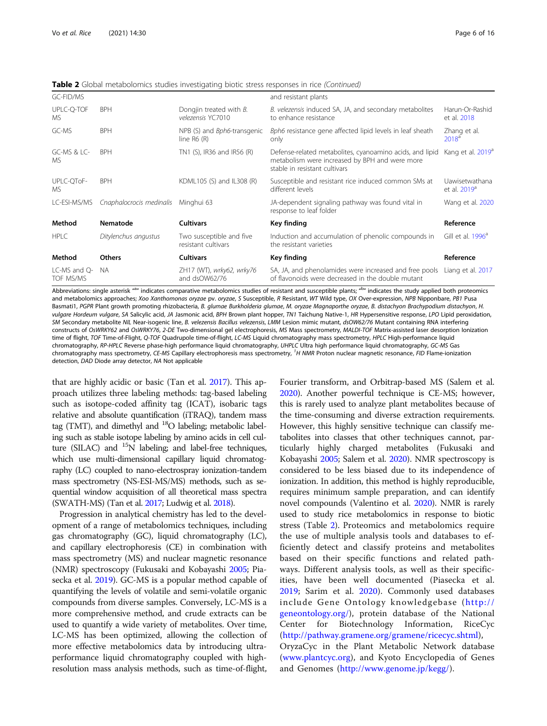Table 2 Global metabolomics studies investigating biotic stress responses in rice (Continued)

| GC-FID/MS                     |                          |                                                     | and resistant plants                                                                                                                        |                                            |
|-------------------------------|--------------------------|-----------------------------------------------------|---------------------------------------------------------------------------------------------------------------------------------------------|--------------------------------------------|
| UPLC-Q-TOF<br>MS.             | <b>BPH</b>               | Dongjin treated with $B$ .<br>velezensis YC7010     | B. velezensis induced SA, JA, and secondary metabolites<br>to enhance resistance                                                            | Harun-Or-Rashid<br>et al. 2018             |
| GC-MS                         | <b>BPH</b>               | NPB (S) and <i>Bph6</i> -transgenic<br>line $R6(R)$ | Bph6 resistance gene affected lipid levels in leaf sheath<br>only                                                                           | Zhang et al.<br>2018 <sup>a</sup>          |
| GC-MS & LC-<br>MS.            | <b>BPH</b>               | TN1 (S), IR36 and IR56 (R)                          | Defense-related metabolites, cyanoamino acids, and lipid<br>metabolism were increased by BPH and were more<br>stable in resistant cultivars | Kang et al. 2019 <sup>a</sup>              |
| UPLC-QToF-<br><b>MS</b>       | <b>BPH</b>               | KDML105 (S) and IL308 (R)                           | Susceptible and resistant rice induced common SMs at<br>different levels                                                                    | Uawisetwathana<br>et al. 2019 <sup>a</sup> |
| LC-ESI-MS/MS                  | Cnaphalocrocis medinalis | Minghui 63                                          | JA-dependent signaling pathway was found vital in<br>response to leaf folder                                                                | Wang et al. 2020                           |
| Method                        | Nematode                 | <b>Cultivars</b>                                    | Key finding                                                                                                                                 | Reference                                  |
| <b>HPLC</b>                   | Ditylenchus angustus     | Two susceptible and five<br>resistant cultivars     | Induction and accumulation of phenolic compounds in<br>the resistant varieties                                                              | Gill et al. 1996 <sup>a</sup>              |
| Method                        | <b>Others</b>            | <b>Cultivars</b>                                    | Key finding                                                                                                                                 | Reference                                  |
| $LC-MS$ and $O-$<br>TOF MS/MS | NA.                      | ZH17 (WT), wrky62, wrky76<br>and dsOW62/76          | SA, JA, and phenolamides were increased and free pools<br>of flavonoids were decreased in the double mutant                                 | Liang et al. 2017                          |

Abbreviations: single asterisk <sup>nan</sup> indicates comparative metabolomics studies of resistant and susceptible plants; <sup>abn</sup> indicates the study applied both proteomics and metabolomics approaches; Xoo Xanthomonas oryzae pv. oryzae, S Susceptible, R Resistant, WT Wild type, OX Over-expression, NPB Nipponbare, PB1 Pusa Basmati1, PGPR Plant growth promoting rhizobacteria, B. glumae Burkholderia glumae, M. oryzae Magnaporthe oryzae, B. distachyon Brachypodium distachyon, H. vulgare Hordeum vulgare, SA Salicylic acid, JA Jasmonic acid, BPH Brown plant hopper, TN1 Taichung Native-1, HR Hypersensitive response, LPO Lipid peroxidation, SM Secondary metabolite NIL Near-isogenic line, B. velezensis Bacillus velezensis, LMM Lesion mimic mutant, dsOW62/76 Mutant containing RNA interfering constructs of OsWRKY62 and OsWRKY76, 2-DE Two-dimensional gel electrophoresis, MS Mass spectrometry, MALDI-TOF Matrix-assisted laser desorption Ionization time of flight, TOF Time-of-Flight, Q-TOF Quadrupole time-of-flight, LC-MS Liquid chromatography mass spectrometry, HPLC High-performance liquid chromatography, RP-HPLC Reverse phase-high performance liquid chromatography, UHPLC Ultra high performance liquid chromatography, GC-MS Gas chromatography mass spectrometry, CE-MS Capillary electrophoresis mass spectrometry, <sup>7</sup>H NMR Proton nuclear magnetic resonance, FID Flame-ionization detection, DAD Diode array detector, NA Not applicable

that are highly acidic or basic (Tan et al. [2017](#page-15-0)). This approach utilizes three labeling methods: tag-based labeling such as isotope-coded affinity tag (ICAT), isobaric tags relative and absolute quantification (iTRAQ), tandem mass tag (TMT), and dimethyl and  $^{18}$ O labeling; metabolic labeling such as stable isotope labeling by amino acids in cell culture (SILAC) and  $^{15}N$  labeling; and label-free techniques, which use multi-dimensional capillary liquid chromatography (LC) coupled to nano-electrospray ionization-tandem mass spectrometry (NS-ESI-MS/MS) methods, such as sequential window acquisition of all theoretical mass spectra (SWATH-MS) (Tan et al. [2017](#page-15-0); Ludwig et al. [2018](#page-14-0)).

Progression in analytical chemistry has led to the development of a range of metabolomics techniques, including gas chromatography (GC), liquid chromatography (LC), and capillary electrophoresis (CE) in combination with mass spectrometry (MS) and nuclear magnetic resonance (NMR) spectroscopy (Fukusaki and Kobayashi [2005;](#page-13-0) Piasecka et al. [2019\)](#page-14-0). GC-MS is a popular method capable of quantifying the levels of volatile and semi-volatile organic compounds from diverse samples. Conversely, LC-MS is a more comprehensive method, and crude extracts can be used to quantify a wide variety of metabolites. Over time, LC-MS has been optimized, allowing the collection of more effective metabolomics data by introducing ultraperformance liquid chromatography coupled with highresolution mass analysis methods, such as time-of-flight,

Fourier transform, and Orbitrap-based MS (Salem et al. [2020\)](#page-15-0). Another powerful technique is CE-MS; however, this is rarely used to analyze plant metabolites because of the time-consuming and diverse extraction requirements. However, this highly sensitive technique can classify metabolites into classes that other techniques cannot, particularly highly charged metabolites (Fukusaki and Kobayashi [2005](#page-13-0); Salem et al. [2020](#page-15-0)). NMR spectroscopy is considered to be less biased due to its independence of ionization. In addition, this method is highly reproducible, requires minimum sample preparation, and can identify novel compounds (Valentino et al. [2020](#page-15-0)). NMR is rarely used to study rice metabolomics in response to biotic stress (Table [2\)](#page-4-0). Proteomics and metabolomics require the use of multiple analysis tools and databases to efficiently detect and classify proteins and metabolites based on their specific functions and related pathways. Different analysis tools, as well as their specificities, have been well documented (Piasecka et al. [2019;](#page-14-0) Sarim et al. [2020](#page-15-0)). Commonly used databases include Gene Ontology knowledgebase ([http://](http://geneontology.org/) [geneontology.org/](http://geneontology.org/)), protein database of the National Center for Biotechnology Information, RiceCyc ([http://pathway.gramene.org/gramene/ricecyc.shtml\)](http://pathway.gramene.org/gramene/ricecyc.shtml), OryzaCyc in the Plant Metabolic Network database ([www.plantcyc.org\)](http://www.plantcyc.org), and Kyoto Encyclopedia of Genes and Genomes [\(http://www.genome.jp/kegg/](http://www.genome.jp/kegg/)).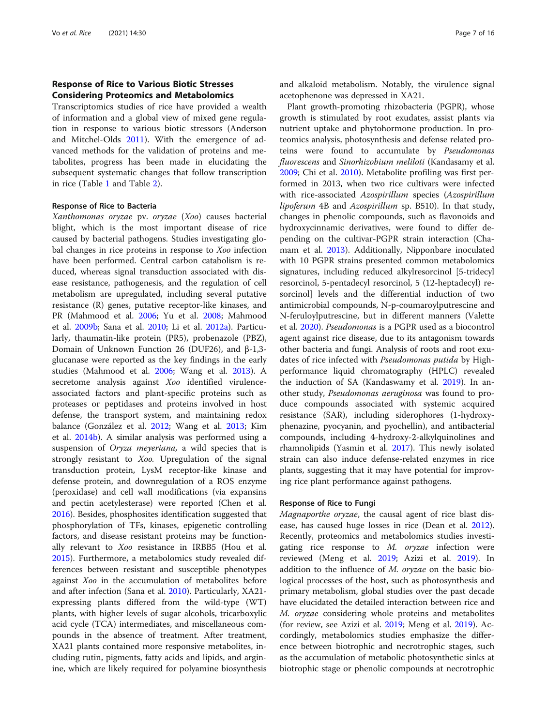# Response of Rice to Various Biotic Stresses Considering Proteomics and Metabolomics

Transcriptomics studies of rice have provided a wealth of information and a global view of mixed gene regulation in response to various biotic stressors (Anderson and Mitchel-Olds [2011](#page-13-0)). With the emergence of advanced methods for the validation of proteins and metabolites, progress has been made in elucidating the subsequent systematic changes that follow transcription in rice (Table [1](#page-2-0) and Table [2](#page-4-0)).

# Response of Rice to Bacteria

Xanthomonas oryzae pv. oryzae (Xoo) causes bacterial blight, which is the most important disease of rice caused by bacterial pathogens. Studies investigating global changes in rice proteins in response to Xoo infection have been performed. Central carbon catabolism is reduced, whereas signal transduction associated with disease resistance, pathogenesis, and the regulation of cell metabolism are upregulated, including several putative resistance (R) genes, putative receptor-like kinases, and PR (Mahmood et al. [2006;](#page-14-0) Yu et al. [2008;](#page-15-0) Mahmood et al. [2009b](#page-14-0); Sana et al. [2010;](#page-15-0) Li et al. [2012a](#page-14-0)). Particularly, thaumatin-like protein (PR5), probenazole (PBZ), Domain of Unknown Function 26 (DUF26), and β-1,3 glucanase were reported as the key findings in the early studies (Mahmood et al. [2006](#page-14-0); Wang et al. [2013\)](#page-15-0). A secretome analysis against Xoo identified virulenceassociated factors and plant-specific proteins such as proteases or peptidases and proteins involved in host defense, the transport system, and maintaining redox balance (González et al. [2012;](#page-13-0) Wang et al. [2013](#page-15-0); Kim et al. [2014b](#page-14-0)). A similar analysis was performed using a suspension of *Oryza meyeriana*, a wild species that is strongly resistant to Xoo. Upregulation of the signal transduction protein, LysM receptor-like kinase and defense protein, and downregulation of a ROS enzyme (peroxidase) and cell wall modifications (via expansins and pectin acetylesterase) were reported (Chen et al. [2016](#page-13-0)). Besides, phosphosites identification suggested that phosphorylation of TFs, kinases, epigenetic controlling factors, and disease resistant proteins may be functionally relevant to Xoo resistance in IRBB5 (Hou et al. [2015](#page-13-0)). Furthermore, a metabolomics study revealed differences between resistant and susceptible phenotypes against Xoo in the accumulation of metabolites before and after infection (Sana et al. [2010](#page-15-0)). Particularly, XA21 expressing plants differed from the wild-type (WT) plants, with higher levels of sugar alcohols, tricarboxylic acid cycle (TCA) intermediates, and miscellaneous compounds in the absence of treatment. After treatment, XA21 plants contained more responsive metabolites, including rutin, pigments, fatty acids and lipids, and arginine, which are likely required for polyamine biosynthesis and alkaloid metabolism. Notably, the virulence signal acetophenone was depressed in XA21.

Plant growth-promoting rhizobacteria (PGPR), whose growth is stimulated by root exudates, assist plants via nutrient uptake and phytohormone production. In proteomics analysis, photosynthesis and defense related proteins were found to accumulate by Pseudomonas fluorescens and Sinorhizobium meliloti (Kandasamy et al. [2009](#page-13-0); Chi et al. [2010](#page-13-0)). Metabolite profiling was first performed in 2013, when two rice cultivars were infected with rice-associated Azospirillum species (Azospirillum lipoferum 4B and Azospirillum sp. B510). In that study, changes in phenolic compounds, such as flavonoids and hydroxycinnamic derivatives, were found to differ depending on the cultivar-PGPR strain interaction (Chamam et al. [2013\)](#page-13-0). Additionally, Nipponbare inoculated with 10 PGPR strains presented common metabolomics signatures, including reduced alkylresorcinol [5-tridecyl resorcinol, 5-pentadecyl resorcinol, 5 (12-heptadecyl) resorcinol] levels and the differential induction of two antimicrobial compounds, N-p-coumaroylputrescine and N-feruloylputrescine, but in different manners (Valette et al. [2020\)](#page-15-0). Pseudomonas is a PGPR used as a biocontrol agent against rice disease, due to its antagonism towards other bacteria and fungi. Analysis of roots and root exudates of rice infected with Pseudomonas putida by Highperformance liquid chromatography (HPLC) revealed the induction of SA (Kandaswamy et al. [2019\)](#page-13-0). In another study, Pseudomonas aeruginosa was found to produce compounds associated with systemic acquired resistance (SAR), including siderophores (1-hydroxyphenazine, pyocyanin, and pyochellin), and antibacterial compounds, including 4-hydroxy-2-alkylquinolines and rhamnolipids (Yasmin et al. [2017\)](#page-15-0). This newly isolated strain can also induce defense-related enzymes in rice plants, suggesting that it may have potential for improving rice plant performance against pathogens.

# Response of Rice to Fungi

Magnaporthe oryzae, the causal agent of rice blast disease, has caused huge losses in rice (Dean et al. [2012](#page-13-0)). Recently, proteomics and metabolomics studies investigating rice response to M. oryzae infection were reviewed (Meng et al. [2019](#page-14-0); Azizi et al. [2019\)](#page-13-0). In addition to the influence of *M. oryzae* on the basic biological processes of the host, such as photosynthesis and primary metabolism, global studies over the past decade have elucidated the detailed interaction between rice and M. oryzae considering whole proteins and metabolites (for review, see Azizi et al. [2019;](#page-13-0) Meng et al. [2019\)](#page-14-0). Accordingly, metabolomics studies emphasize the difference between biotrophic and necrotrophic stages, such as the accumulation of metabolic photosynthetic sinks at biotrophic stage or phenolic compounds at necrotrophic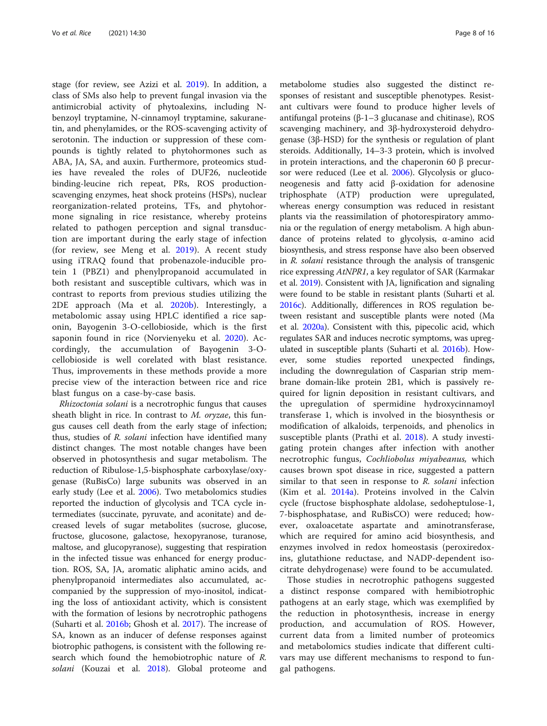stage (for review, see Azizi et al. [2019](#page-13-0)). In addition, a class of SMs also help to prevent fungal invasion via the antimicrobial activity of phytoalexins, including Nbenzoyl tryptamine, N-cinnamoyl tryptamine, sakuranetin, and phenylamides, or the ROS-scavenging activity of serotonin. The induction or suppression of these compounds is tightly related to phytohormones such as ABA, JA, SA, and auxin. Furthermore, proteomics studies have revealed the roles of DUF26, nucleotide binding-leucine rich repeat, PRs, ROS productionscavenging enzymes, heat shock proteins (HSPs), nuclear reorganization-related proteins, TFs, and phytohormone signaling in rice resistance, whereby proteins related to pathogen perception and signal transduction are important during the early stage of infection (for review, see Meng et al. [2019\)](#page-14-0). A recent study using iTRAQ found that probenazole-inducible protein 1 (PBZ1) and phenylpropanoid accumulated in both resistant and susceptible cultivars, which was in contrast to reports from previous studies utilizing the 2DE approach (Ma et al. [2020b\)](#page-14-0). Interestingly, a metabolomic assay using HPLC identified a rice saponin, Bayogenin 3-O-cellobioside, which is the first saponin found in rice (Norvienyeku et al. [2020](#page-14-0)). Accordingly, the accumulation of Bayogenin 3-Ocellobioside is well corelated with blast resistance. Thus, improvements in these methods provide a more precise view of the interaction between rice and rice blast fungus on a case-by-case basis.

Rhizoctonia solani is a necrotrophic fungus that causes sheath blight in rice. In contrast to M. oryzae, this fungus causes cell death from the early stage of infection; thus, studies of R. solani infection have identified many distinct changes. The most notable changes have been observed in photosynthesis and sugar metabolism. The reduction of Ribulose-1,5-bisphosphate carboxylase/oxygenase (RuBisCo) large subunits was observed in an early study (Lee et al. [2006](#page-14-0)). Two metabolomics studies reported the induction of glycolysis and TCA cycle intermediates (succinate, pyruvate, and aconitate) and decreased levels of sugar metabolites (sucrose, glucose, fructose, glucosone, galactose, hexopyranose, turanose, maltose, and glucopyranose), suggesting that respiration in the infected tissue was enhanced for energy production. ROS, SA, JA, aromatic aliphatic amino acids, and phenylpropanoid intermediates also accumulated, accompanied by the suppression of myo-inositol, indicating the loss of antioxidant activity, which is consistent with the formation of lesions by necrotrophic pathogens (Suharti et al. [2016b](#page-15-0); Ghosh et al. [2017](#page-13-0)). The increase of SA, known as an inducer of defense responses against biotrophic pathogens, is consistent with the following research which found the hemobiotrophic nature of R. solani (Kouzai et al. [2018](#page-14-0)). Global proteome and

metabolome studies also suggested the distinct responses of resistant and susceptible phenotypes. Resistant cultivars were found to produce higher levels of antifungal proteins  $(β-1-3$  glucanase and chitinase), ROS scavenging machinery, and 3β-hydroxysteroid dehydrogenase (3β-HSD) for the synthesis or regulation of plant steroids. Additionally, 14–3-3 protein, which is involved in protein interactions, and the chaperonin 60 β precursor were reduced (Lee et al. [2006](#page-14-0)). Glycolysis or gluconeogenesis and fatty acid β-oxidation for adenosine triphosphate (ATP) production were upregulated, whereas energy consumption was reduced in resistant plants via the reassimilation of photorespiratory ammonia or the regulation of energy metabolism. A high abundance of proteins related to glycolysis, α-amino acid biosynthesis, and stress response have also been observed in R. solani resistance through the analysis of transgenic rice expressing AtNPR1, a key regulator of SAR (Karmakar et al. [2019](#page-13-0)). Consistent with JA, lignification and signaling were found to be stable in resistant plants (Suharti et al. [2016c](#page-15-0)). Additionally, differences in ROS regulation between resistant and susceptible plants were noted (Ma et al. [2020a](#page-14-0)). Consistent with this, pipecolic acid, which regulates SAR and induces necrotic symptoms, was upregulated in susceptible plants (Suharti et al. [2016b](#page-15-0)). However, some studies reported unexpected findings, including the downregulation of Casparian strip membrane domain-like protein 2B1, which is passively required for lignin deposition in resistant cultivars, and the upregulation of spermidine hydroxycinnamoyl transferase 1, which is involved in the biosynthesis or modification of alkaloids, terpenoids, and phenolics in susceptible plants (Prathi et al. [2018](#page-14-0)). A study investigating protein changes after infection with another necrotrophic fungus, Cochliobolus miyabeanus, which causes brown spot disease in rice, suggested a pattern similar to that seen in response to  $R$ . solani infection (Kim et al. [2014a](#page-14-0)). Proteins involved in the Calvin cycle (fructose bisphosphate aldolase, sedoheptulose-1, 7-bisphosphatase, and RuBisCO) were reduced; however, oxaloacetate aspartate and aminotransferase, which are required for amino acid biosynthesis, and enzymes involved in redox homeostasis (peroxiredoxins, glutathione reductase, and NADP-dependent isocitrate dehydrogenase) were found to be accumulated.

Those studies in necrotrophic pathogens suggested a distinct response compared with hemibiotrophic pathogens at an early stage, which was exemplified by the reduction in photosynthesis, increase in energy production, and accumulation of ROS. However, current data from a limited number of proteomics and metabolomics studies indicate that different cultivars may use different mechanisms to respond to fungal pathogens.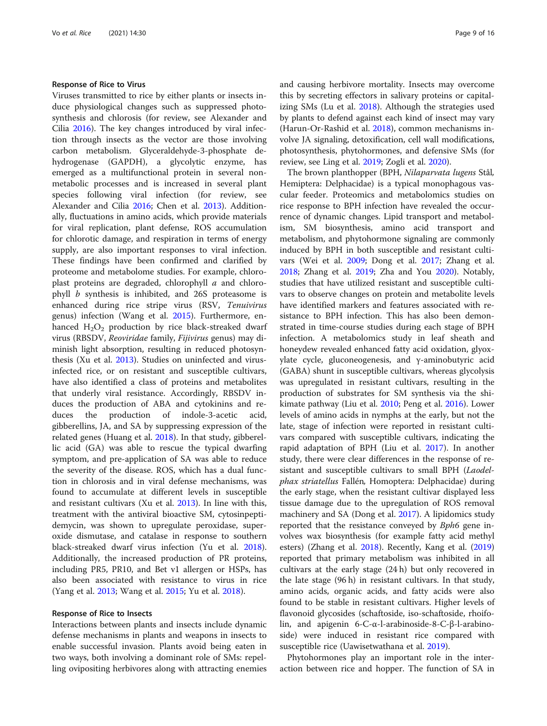#### Response of Rice to Virus

Viruses transmitted to rice by either plants or insects induce physiological changes such as suppressed photosynthesis and chlorosis (for review, see Alexander and Cilia [2016](#page-13-0)). The key changes introduced by viral infection through insects as the vector are those involving carbon metabolism. Glyceraldehyde-3-phosphate dehydrogenase (GAPDH), a glycolytic enzyme, has emerged as a multifunctional protein in several nonmetabolic processes and is increased in several plant species following viral infection (for review, see Alexander and Cilia [2016](#page-13-0); Chen et al. [2013](#page-13-0)). Additionally, fluctuations in amino acids, which provide materials for viral replication, plant defense, ROS accumulation for chlorotic damage, and respiration in terms of energy supply, are also important responses to viral infection. These findings have been confirmed and clarified by proteome and metabolome studies. For example, chloroplast proteins are degraded, chlorophyll a and chlorophyll b synthesis is inhibited, and 26S proteasome is enhanced during rice stripe virus (RSV, Tenuivirus genus) infection (Wang et al. [2015\)](#page-15-0). Furthermore, enhanced  $H_2O_2$  production by rice black-streaked dwarf virus (RBSDV, Reoviridae family, Fijivirus genus) may diminish light absorption, resulting in reduced photosynthesis (Xu et al. [2013\)](#page-15-0). Studies on uninfected and virusinfected rice, or on resistant and susceptible cultivars, have also identified a class of proteins and metabolites that underly viral resistance. Accordingly, RBSDV induces the production of ABA and cytokinins and reduces the production of indole-3-acetic acid, gibberellins, JA, and SA by suppressing expression of the related genes (Huang et al. [2018\)](#page-13-0). In that study, gibberellic acid (GA) was able to rescue the typical dwarfing symptom, and pre-application of SA was able to reduce the severity of the disease. ROS, which has a dual function in chlorosis and in viral defense mechanisms, was found to accumulate at different levels in susceptible and resistant cultivars (Xu et al. [2013\)](#page-15-0). In line with this, treatment with the antiviral bioactive SM, cytosinpeptidemycin, was shown to upregulate peroxidase, superoxide dismutase, and catalase in response to southern black-streaked dwarf virus infection (Yu et al. [2018](#page-15-0)). Additionally, the increased production of PR proteins, including PR5, PR10, and Bet v1 allergen or HSPs, has also been associated with resistance to virus in rice (Yang et al. [2013;](#page-15-0) Wang et al. [2015](#page-15-0); Yu et al. [2018\)](#page-15-0).

# Response of Rice to Insects

Interactions between plants and insects include dynamic defense mechanisms in plants and weapons in insects to enable successful invasion. Plants avoid being eaten in two ways, both involving a dominant role of SMs: repelling ovipositing herbivores along with attracting enemies and causing herbivore mortality. Insects may overcome this by secreting effectors in salivary proteins or capitalizing SMs (Lu et al. [2018\)](#page-14-0). Although the strategies used by plants to defend against each kind of insect may vary (Harun-Or-Rashid et al. [2018\)](#page-13-0), common mechanisms involve JA signaling, detoxification, cell wall modifications, photosynthesis, phytohormones, and defensive SMs (for review, see Ling et al. [2019](#page-14-0); Zogli et al. [2020](#page-15-0)).

The brown planthopper (BPH, Nilaparvata lugens Stål, Hemiptera: Delphacidae) is a typical monophagous vascular feeder. Proteomics and metabolomics studies on rice response to BPH infection have revealed the occurrence of dynamic changes. Lipid transport and metabolism, SM biosynthesis, amino acid transport and metabolism, and phytohormone signaling are commonly induced by BPH in both susceptible and resistant cultivars (Wei et al. [2009;](#page-15-0) Dong et al. [2017;](#page-13-0) Zhang et al. [2018](#page-15-0); Zhang et al. [2019;](#page-15-0) Zha and You [2020](#page-15-0)). Notably, studies that have utilized resistant and susceptible cultivars to observe changes on protein and metabolite levels have identified markers and features associated with resistance to BPH infection. This has also been demonstrated in time-course studies during each stage of BPH infection. A metabolomics study in leaf sheath and honeydew revealed enhanced fatty acid oxidation, glyoxylate cycle, gluconeogenesis, and γ-aminobutyric acid (GABA) shunt in susceptible cultivars, whereas glycolysis was upregulated in resistant cultivars, resulting in the production of substrates for SM synthesis via the shikimate pathway (Liu et al. [2010](#page-14-0); Peng et al. [2016\)](#page-14-0). Lower levels of amino acids in nymphs at the early, but not the late, stage of infection were reported in resistant cultivars compared with susceptible cultivars, indicating the rapid adaptation of BPH (Liu et al. [2017](#page-14-0)). In another study, there were clear differences in the response of resistant and susceptible cultivars to small BPH (Laodelphax striatellus Fallén, Homoptera: Delphacidae) during the early stage, when the resistant cultivar displayed less tissue damage due to the upregulation of ROS removal machinery and SA (Dong et al. [2017\)](#page-13-0). A lipidomics study reported that the resistance conveyed by Bph6 gene involves wax biosynthesis (for example fatty acid methyl esters) (Zhang et al. [2018\)](#page-15-0). Recently, Kang et al. ([2019](#page-13-0)) reported that primary metabolism was inhibited in all cultivars at the early stage (24 h) but only recovered in the late stage (96 h) in resistant cultivars. In that study, amino acids, organic acids, and fatty acids were also found to be stable in resistant cultivars. Higher levels of flavonoid glycosides (schaftoside, iso-schaftoside, rhoifolin, and apigenin 6-C-α-l-arabinoside-8-C-β-l-arabinoside) were induced in resistant rice compared with susceptible rice (Uawisetwathana et al. [2019\)](#page-15-0).

Phytohormones play an important role in the interaction between rice and hopper. The function of SA in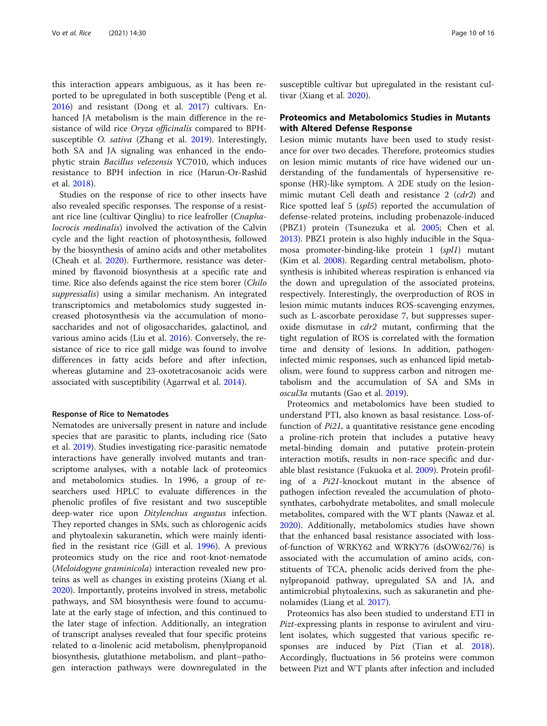this interaction appears ambiguous, as it has been reported to be upregulated in both susceptible (Peng et al. [2016](#page-14-0)) and resistant (Dong et al. [2017\)](#page-13-0) cultivars. Enhanced JA metabolism is the main difference in the resistance of wild rice Oryza officinalis compared to BPHsusceptible O. sativa (Zhang et al. [2019\)](#page-15-0). Interestingly, both SA and JA signaling was enhanced in the endophytic strain Bacillus velezensis YC7010, which induces resistance to BPH infection in rice (Harun-Or-Rashid et al. [2018\)](#page-13-0).

Studies on the response of rice to other insects have also revealed specific responses. The response of a resistant rice line (cultivar Qingliu) to rice leafroller (Cnaphalocrocis medinalis) involved the activation of the Calvin cycle and the light reaction of photosynthesis, followed by the biosynthesis of amino acids and other metabolites (Cheah et al. [2020\)](#page-13-0). Furthermore, resistance was determined by flavonoid biosynthesis at a specific rate and time. Rice also defends against the rice stem borer (*Chilo*) suppressalis) using a similar mechanism. An integrated transcriptomics and metabolomics study suggested increased photosynthesis via the accumulation of monosaccharides and not of oligosaccharides, galactinol, and various amino acids (Liu et al. [2016](#page-14-0)). Conversely, the resistance of rice to rice gall midge was found to involve differences in fatty acids before and after infection, whereas glutamine and 23-oxotetracosanoic acids were associated with susceptibility (Agarrwal et al. [2014](#page-13-0)).

# Response of Rice to Nematodes

Nematodes are universally present in nature and include species that are parasitic to plants, including rice (Sato et al. [2019](#page-15-0)). Studies investigating rice-parasitic nematode interactions have generally involved mutants and transcriptome analyses, with a notable lack of proteomics and metabolomics studies. In 1996, a group of researchers used HPLC to evaluate differences in the phenolic profiles of five resistant and two susceptible deep-water rice upon Ditylenchus angustus infection. They reported changes in SMs, such as chlorogenic acids and phytoalexin sakuranetin, which were mainly identified in the resistant rice (Gill et al. [1996](#page-13-0)). A previous proteomics study on the rice and root-knot-nematode (Meloidogyne graminicola) interaction revealed new proteins as well as changes in existing proteins (Xiang et al. [2020](#page-15-0)). Importantly, proteins involved in stress, metabolic pathways, and SM biosynthesis were found to accumulate at the early stage of infection, and this continued to the later stage of infection. Additionally, an integration of transcript analyses revealed that four specific proteins related to α-linolenic acid metabolism, phenylpropanoid biosynthesis, glutathione metabolism, and plant–pathogen interaction pathways were downregulated in the susceptible cultivar but upregulated in the resistant cultivar (Xiang et al. [2020](#page-15-0)).

# Proteomics and Metabolomics Studies in Mutants with Altered Defense Response

Lesion mimic mutants have been used to study resistance for over two decades. Therefore, proteomics studies on lesion mimic mutants of rice have widened our understanding of the fundamentals of hypersensitive response (HR)-like symptom. A 2DE study on the lesionmimic mutant Cell death and resistance 2 (cdr2) and Rice spotted leaf 5 (spl5) reported the accumulation of defense-related proteins, including probenazole-induced (PBZ1) protein (Tsunezuka et al. [2005;](#page-15-0) Chen et al. [2013](#page-13-0)). PBZ1 protein is also highly inducible in the Squamosa promoter-binding-like protein 1 (spl1) mutant (Kim et al. [2008](#page-14-0)). Regarding central metabolism, photosynthesis is inhibited whereas respiration is enhanced via the down and upregulation of the associated proteins, respectively. Interestingly, the overproduction of ROS in lesion mimic mutants induces ROS-scavenging enzymes, such as L-ascorbate peroxidase 7, but suppresses superoxide dismutase in *cdr2* mutant, confirming that the tight regulation of ROS is correlated with the formation time and density of lesions. In addition, pathogeninfected mimic responses, such as enhanced lipid metabolism, were found to suppress carbon and nitrogen metabolism and the accumulation of SA and SMs in oscul3a mutants (Gao et al. [2019](#page-13-0)).

Proteomics and metabolomics have been studied to understand PTI, also known as basal resistance. Loss-offunction of Pi21, a quantitative resistance gene encoding a proline-rich protein that includes a putative heavy metal-binding domain and putative protein-protein interaction motifs, results in non-race specific and durable blast resistance (Fukuoka et al. [2009](#page-13-0)). Protein profiling of a Pi21-knockout mutant in the absence of pathogen infection revealed the accumulation of photosynthates, carbohydrate metabolites, and small molecule metabolites, compared with the WT plants (Nawaz et al. [2020](#page-14-0)). Additionally, metabolomics studies have shown that the enhanced basal resistance associated with lossof-function of WRKY62 and WRKY76 (dsOW62/76) is associated with the accumulation of amino acids, constituents of TCA, phenolic acids derived from the phenylpropanoid pathway, upregulated SA and JA, and antimicrobial phytoalexins, such as sakuranetin and phenolamides (Liang et al. [2017](#page-14-0)).

Proteomics has also been studied to understand ETI in Pizt-expressing plants in response to avirulent and virulent isolates, which suggested that various specific responses are induced by Pizt (Tian et al. [2018](#page-15-0)). Accordingly, fluctuations in 56 proteins were common between Pizt and WT plants after infection and included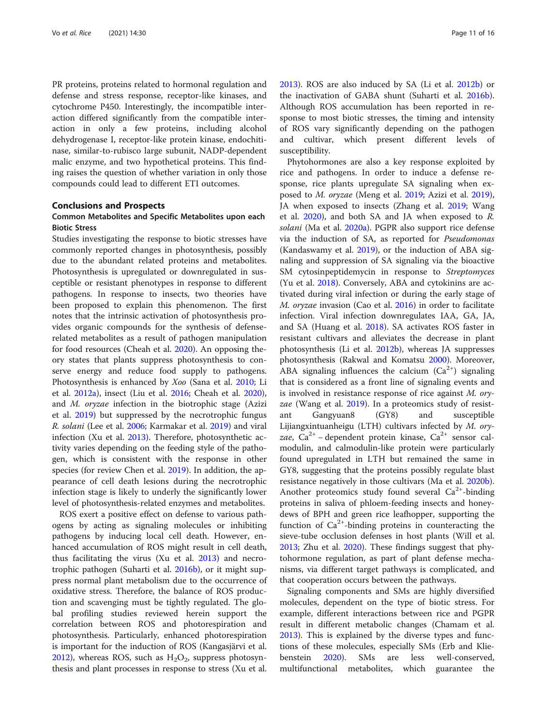PR proteins, proteins related to hormonal regulation and defense and stress response, receptor-like kinases, and cytochrome P450. Interestingly, the incompatible interaction differed significantly from the compatible interaction in only a few proteins, including alcohol dehydrogenase I, receptor-like protein kinase, endochitinase, similar-to-rubisco large subunit, NADP-dependent malic enzyme, and two hypothetical proteins. This finding raises the question of whether variation in only those compounds could lead to different ETI outcomes.

# Conclusions and Prospects

# Common Metabolites and Specific Metabolites upon each Biotic Stress

Studies investigating the response to biotic stresses have commonly reported changes in photosynthesis, possibly due to the abundant related proteins and metabolites. Photosynthesis is upregulated or downregulated in susceptible or resistant phenotypes in response to different pathogens. In response to insects, two theories have been proposed to explain this phenomenon. The first notes that the intrinsic activation of photosynthesis provides organic compounds for the synthesis of defenserelated metabolites as a result of pathogen manipulation for food resources (Cheah et al. [2020\)](#page-13-0). An opposing theory states that plants suppress photosynthesis to conserve energy and reduce food supply to pathogens. Photosynthesis is enhanced by Xoo (Sana et al. [2010;](#page-15-0) Li et al. [2012a\)](#page-14-0), insect (Liu et al. [2016;](#page-14-0) Cheah et al. [2020](#page-13-0)), and M. oryzae infection in the biotrophic stage (Azizi et al. [2019](#page-13-0)) but suppressed by the necrotrophic fungus R. solani (Lee et al. [2006;](#page-14-0) Karmakar et al. [2019\)](#page-13-0) and viral infection (Xu et al. [2013\)](#page-15-0). Therefore, photosynthetic activity varies depending on the feeding style of the pathogen, which is consistent with the response in other species (for review Chen et al. [2019\)](#page-13-0). In addition, the appearance of cell death lesions during the necrotrophic infection stage is likely to underly the significantly lower level of photosynthesis-related enzymes and metabolites.

ROS exert a positive effect on defense to various pathogens by acting as signaling molecules or inhibiting pathogens by inducing local cell death. However, enhanced accumulation of ROS might result in cell death, thus facilitating the virus (Xu et al. [2013\)](#page-15-0) and necrotrophic pathogen (Suharti et al. [2016b](#page-15-0)), or it might suppress normal plant metabolism due to the occurrence of oxidative stress. Therefore, the balance of ROS production and scavenging must be tightly regulated. The global profiling studies reviewed herein support the correlation between ROS and photorespiration and photosynthesis. Particularly, enhanced photorespiration is important for the induction of ROS (Kangasjärvi et al. [2012](#page-13-0)), whereas ROS, such as  $H_2O_2$ , suppress photosynthesis and plant processes in response to stress (Xu et al. [2013](#page-15-0)). ROS are also induced by SA (Li et al. [2012b\)](#page-14-0) or the inactivation of GABA shunt (Suharti et al. [2016b](#page-15-0)). Although ROS accumulation has been reported in response to most biotic stresses, the timing and intensity of ROS vary significantly depending on the pathogen and cultivar, which present different levels of susceptibility.

Phytohormones are also a key response exploited by rice and pathogens. In order to induce a defense response, rice plants upregulate SA signaling when exposed to M. oryzae (Meng et al. [2019;](#page-14-0) Azizi et al. [2019](#page-13-0)), JA when exposed to insects (Zhang et al. [2019](#page-15-0); Wang et al.  $2020$ ), and both SA and JA when exposed to R. solani (Ma et al. [2020a\)](#page-14-0). PGPR also support rice defense via the induction of SA, as reported for Pseudomonas (Kandaswamy et al. [2019\)](#page-13-0), or the induction of ABA signaling and suppression of SA signaling via the bioactive SM cytosinpeptidemycin in response to Streptomyces (Yu et al. [2018](#page-15-0)). Conversely, ABA and cytokinins are activated during viral infection or during the early stage of M. oryzae invasion (Cao et al. [2016](#page-13-0)) in order to facilitate infection. Viral infection downregulates IAA, GA, JA, and SA (Huang et al. [2018](#page-13-0)). SA activates ROS faster in resistant cultivars and alleviates the decrease in plant photosynthesis (Li et al. [2012b\)](#page-14-0), whereas JA suppresses photosynthesis (Rakwal and Komatsu [2000\)](#page-14-0). Moreover, ABA signaling influences the calcium  $(Ca^{2+})$  signaling that is considered as a front line of signaling events and is involved in resistance response of rice against M. oryzae (Wang et al. [2019](#page-15-0)). In a proteomics study of resistant Gangyuan8 (GY8) and susceptible Lijiangxintuanheigu (LTH) cultivars infected by M. oryzae, Ca<sup>2+</sup> – dependent protein kinase, Ca<sup>2+</sup> sensor calmodulin, and calmodulin-like protein were particularly found upregulated in LTH but remained the same in GY8, suggesting that the proteins possibly regulate blast resistance negatively in those cultivars (Ma et al. [2020b](#page-14-0)). Another proteomics study found several  $Ca^{2+}$ -binding proteins in saliva of phloem-feeding insects and honeydews of BPH and green rice leafhopper, supporting the function of  $Ca^{2+}$ -binding proteins in counteracting the sieve-tube occlusion defenses in host plants (Will et al. [2013](#page-15-0); Zhu et al. [2020\)](#page-15-0). These findings suggest that phytohormone regulation, as part of plant defense mechanisms, via different target pathways is complicated, and that cooperation occurs between the pathways.

Signaling components and SMs are highly diversified molecules, dependent on the type of biotic stress. For example, different interactions between rice and PGPR result in different metabolic changes (Chamam et al. [2013](#page-13-0)). This is explained by the diverse types and functions of these molecules, especially SMs (Erb and Klie-benstein [2020\)](#page-13-0). SMs are less well-conserved, multifunctional metabolites, which guarantee the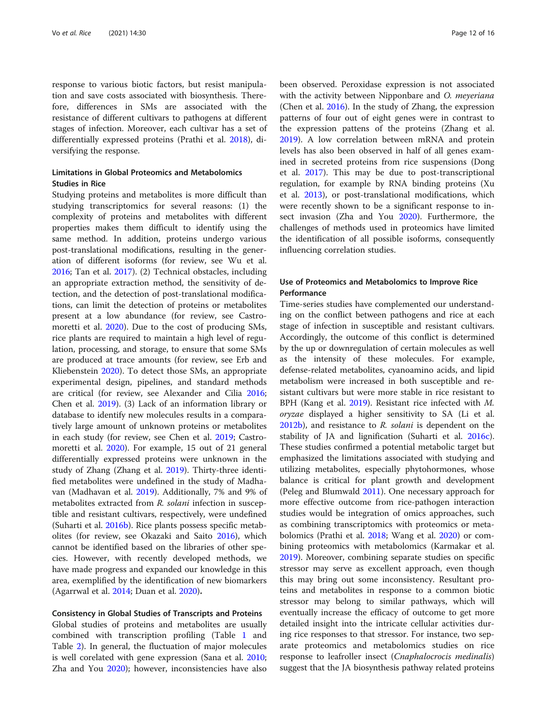response to various biotic factors, but resist manipulation and save costs associated with biosynthesis. Therefore, differences in SMs are associated with the resistance of different cultivars to pathogens at different stages of infection. Moreover, each cultivar has a set of differentially expressed proteins (Prathi et al. [2018\)](#page-14-0), diversifying the response.

# Limitations in Global Proteomics and Metabolomics Studies in Rice

Studying proteins and metabolites is more difficult than studying transcriptomics for several reasons: (1) the complexity of proteins and metabolites with different properties makes them difficult to identify using the same method. In addition, proteins undergo various post-translational modifications, resulting in the generation of different isoforms (for review, see Wu et al. [2016](#page-15-0); Tan et al. [2017](#page-15-0)). (2) Technical obstacles, including an appropriate extraction method, the sensitivity of detection, and the detection of post-translational modifications, can limit the detection of proteins or metabolites present at a low abundance (for review, see Castromoretti et al. [2020\)](#page-13-0). Due to the cost of producing SMs, rice plants are required to maintain a high level of regulation, processing, and storage, to ensure that some SMs are produced at trace amounts (for review, see Erb and Kliebenstein [2020\)](#page-13-0). To detect those SMs, an appropriate experimental design, pipelines, and standard methods are critical (for review, see Alexander and Cilia [2016](#page-13-0); Chen et al. [2019](#page-13-0)). (3) Lack of an information library or database to identify new molecules results in a comparatively large amount of unknown proteins or metabolites in each study (for review, see Chen et al. [2019](#page-13-0); Castromoretti et al. [2020\)](#page-13-0). For example, 15 out of 21 general differentially expressed proteins were unknown in the study of Zhang (Zhang et al. [2019\)](#page-15-0). Thirty-three identified metabolites were undefined in the study of Madhavan (Madhavan et al. [2019\)](#page-14-0). Additionally, 7% and 9% of metabolites extracted from R. solani infection in susceptible and resistant cultivars, respectively, were undefined (Suharti et al. [2016b\)](#page-15-0). Rice plants possess specific metabolites (for review, see Okazaki and Saito [2016\)](#page-14-0), which cannot be identified based on the libraries of other species. However, with recently developed methods, we have made progress and expanded our knowledge in this area, exemplified by the identification of new biomarkers (Agarrwal et al. [2014](#page-13-0); Duan et al. [2020\)](#page-13-0).

# Consistency in Global Studies of Transcripts and Proteins

Global studies of proteins and metabolites are usually combined with transcription profiling (Table [1](#page-2-0) and Table [2](#page-4-0)). In general, the fluctuation of major molecules is well corelated with gene expression (Sana et al. [2010](#page-15-0); Zha and You [2020](#page-15-0)); however, inconsistencies have also been observed. Peroxidase expression is not associated with the activity between Nipponbare and O. meyeriana (Chen et al. [2016](#page-13-0)). In the study of Zhang, the expression patterns of four out of eight genes were in contrast to the expression pattens of the proteins (Zhang et al. [2019](#page-15-0)). A low correlation between mRNA and protein levels has also been observed in half of all genes examined in secreted proteins from rice suspensions (Dong et al. [2017](#page-13-0)). This may be due to post-transcriptional regulation, for example by RNA binding proteins (Xu et al. [2013](#page-15-0)), or post-translational modifications, which were recently shown to be a significant response to insect invasion (Zha and You [2020](#page-15-0)). Furthermore, the challenges of methods used in proteomics have limited the identification of all possible isoforms, consequently influencing correlation studies.

# Use of Proteomics and Metabolomics to Improve Rice Performance

Time-series studies have complemented our understanding on the conflict between pathogens and rice at each stage of infection in susceptible and resistant cultivars. Accordingly, the outcome of this conflict is determined by the up or downregulation of certain molecules as well as the intensity of these molecules. For example, defense-related metabolites, cyanoamino acids, and lipid metabolism were increased in both susceptible and resistant cultivars but were more stable in rice resistant to BPH (Kang et al. [2019](#page-13-0)). Resistant rice infected with M. oryzae displayed a higher sensitivity to SA (Li et al.  $2012b$ ), and resistance to R. solani is dependent on the stability of JA and lignification (Suharti et al. [2016c](#page-15-0)). These studies confirmed a potential metabolic target but emphasized the limitations associated with studying and utilizing metabolites, especially phytohormones, whose balance is critical for plant growth and development (Peleg and Blumwald [2011\)](#page-14-0). One necessary approach for more effective outcome from rice-pathogen interaction studies would be integration of omics approaches, such as combining transcriptomics with proteomics or metabolomics (Prathi et al. [2018](#page-14-0); Wang et al. [2020\)](#page-15-0) or combining proteomics with metabolomics (Karmakar et al. [2019](#page-13-0)). Moreover, combining separate studies on specific stressor may serve as excellent approach, even though this may bring out some inconsistency. Resultant proteins and metabolites in response to a common biotic stressor may belong to similar pathways, which will eventually increase the efficacy of outcome to get more detailed insight into the intricate cellular activities during rice responses to that stressor. For instance, two separate proteomics and metabolomics studies on rice response to leafroller insect (Cnaphalocrocis medinalis) suggest that the JA biosynthesis pathway related proteins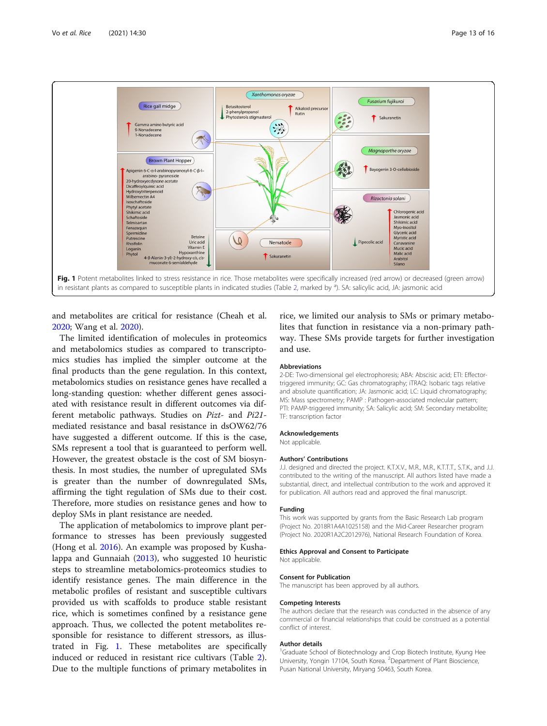

and metabolites are critical for resistance (Cheah et al. [2020](#page-13-0); Wang et al. [2020\)](#page-15-0).

The limited identification of molecules in proteomics and metabolomics studies as compared to transcriptomics studies has implied the simpler outcome at the final products than the gene regulation. In this context, metabolomics studies on resistance genes have recalled a long-standing question: whether different genes associated with resistance result in different outcomes via different metabolic pathways. Studies on Pizt- and Pi21 mediated resistance and basal resistance in dsOW62/76 have suggested a different outcome. If this is the case, SMs represent a tool that is guaranteed to perform well. However, the greatest obstacle is the cost of SM biosynthesis. In most studies, the number of upregulated SMs is greater than the number of downregulated SMs, affirming the tight regulation of SMs due to their cost. Therefore, more studies on resistance genes and how to deploy SMs in plant resistance are needed.

The application of metabolomics to improve plant performance to stresses has been previously suggested (Hong et al. [2016\)](#page-13-0). An example was proposed by Kushalappa and Gunnaiah [\(2013\)](#page-14-0), who suggested 10 heuristic steps to streamline metabolomics-proteomics studies to identify resistance genes. The main difference in the metabolic profiles of resistant and susceptible cultivars provided us with scaffolds to produce stable resistant rice, which is sometimes confined by a resistance gene approach. Thus, we collected the potent metabolites responsible for resistance to different stressors, as illustrated in Fig. 1. These metabolites are specifically induced or reduced in resistant rice cultivars (Table [2](#page-4-0)). Due to the multiple functions of primary metabolites in

rice, we limited our analysis to SMs or primary metabolites that function in resistance via a non-primary pathway. These SMs provide targets for further investigation and use.

#### **Abbreviations**

2-DE: Two-dimensional gel electrophoresis; ABA: Abscisic acid; ETI: Effectortriggered immunity; GC: Gas chromatography; iTRAQ: Isobaric tags relative and absolute quantification; JA: Jasmonic acid; LC: Liquid chromatography; MS: Mass spectrometry; PAMP : Pathogen-associated molecular pattern; PTI: PAMP-triggered immunity; SA: Salicylic acid; SM: Secondary metabolite; TF: transcription factor

## Acknowledgements

Not applicable.

#### Authors' Contributions

J.J. designed and directed the project. K.T.X.V., M.R., M.R., K.T.T.T., S.T.K., and J.J. contributed to the writing of the manuscript. All authors listed have made a substantial, direct, and intellectual contribution to the work and approved it for publication. All authors read and approved the final manuscript.

#### Funding

This work was supported by grants from the Basic Research Lab program (Project No. 2018R1A4A1025158) and the Mid-Career Researcher program (Project No. 2020R1A2C2012976), National Research Foundation of Korea.

#### Ethics Approval and Consent to Participate

Not applicable.

#### Consent for Publication

The manuscript has been approved by all authors.

#### Competing Interests

The authors declare that the research was conducted in the absence of any commercial or financial relationships that could be construed as a potential conflict of interest.

#### Author details

<sup>1</sup>Graduate School of Biotechnology and Crop Biotech Institute, Kyung Hee University, Yongin 17104, South Korea. <sup>2</sup> Department of Plant Bioscience Pusan National University, Miryang 50463, South Korea.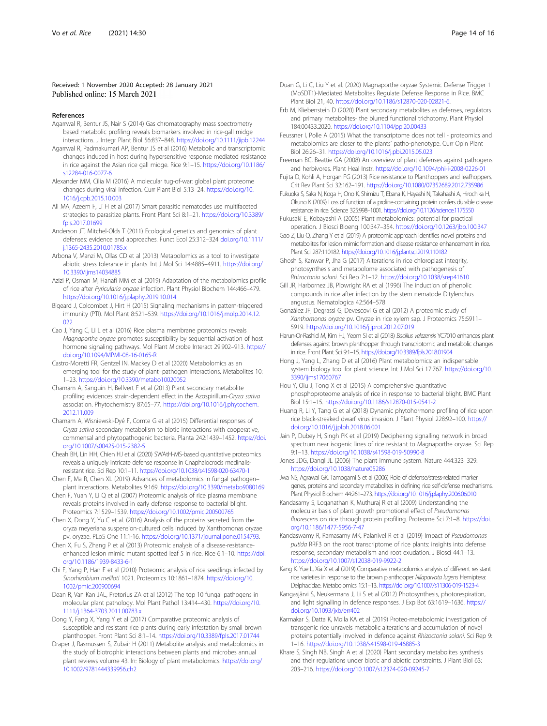# <span id="page-13-0"></span>Received: 1 November 2020 Accepted: 28 January 2021 Published online: 15 March 2021

#### References

- Agarrwal R, Bentur JS, Nair S (2014) Gas chromatography mass spectrometry based metabolic profiling reveals biomarkers involved in rice-gall midge interactions. J Integr Plant Biol 56:837–848. <https://doi.org/10.1111/jipb.12244>
- Agarrwal R, Padmakumari AP, Bentur JS et al (2016) Metabolic and transcriptomic changes induced in host during hypersensitive response mediated resistance in rice against the Asian rice gall midge. Rice 9:1–15. [https://doi.org/10.1186/](https://doi.org/10.1186/s12284-016-0077-6) [s12284-016-0077-6](https://doi.org/10.1186/s12284-016-0077-6)
- Alexander MM, Cilia M (2016) A molecular tug-of-war: global plant proteome changes during viral infection. Curr Plant Biol 5:13–24. [https://doi.org/10.](https://doi.org/10.1016/j.cpb.2015.10.003) [1016/j.cpb.2015.10.003](https://doi.org/10.1016/j.cpb.2015.10.003)
- Ali MA, Azeem F, Li H et al (2017) Smart parasitic nematodes use multifaceted strategies to parasitize plants. Front Plant Sci 8:1–21. [https://doi.org/10.3389/](https://doi.org/10.3389/fpls.2017.01699) [fpls.2017.01699](https://doi.org/10.3389/fpls.2017.01699)
- Anderson JT, Mitchel-Olds T (2011) Ecological genetics and genomics of plant defenses: evidence and approaches. Funct Ecol 25:312–324 [doi.org/10.1111/](http://doi.org/10.1111/j.1365-2435.2010.01785.x) [j.1365-2435.2010.01785.x](http://doi.org/10.1111/j.1365-2435.2010.01785.x)
- Arbona V, Manzi M, Ollas CD et al (2013) Metabolomics as a tool to investigate abiotic stress tolerance in plants. Int J Mol Sci 14:4885–4911. [https://doi.org/](https://doi.org/10.3390/ijms14034885) [10.3390/ijms14034885](https://doi.org/10.3390/ijms14034885)
- Azizi P, Osman M, Hanafi MM et al (2019) Adaptation of the metabolomics profile of rice after Pyricularia oryzae infection. Plant Physiol Biochem 144:466–479. <https://doi.org/10.1016/j.plaphy.2019.10.014>
- Bigeard J, Colcombet J, Hirt H (2015) Signaling mechanisms in pattern-triggered immunity (PTI). Mol Plant 8:521–539. [https://doi.org/10.1016/j.molp.2014.12.](https://doi.org/10.1016/j.molp.2014.12.022) [022](https://doi.org/10.1016/j.molp.2014.12.022)
- Cao J, Yang C, Li L et al (2016) Rice plasma membrane proteomics reveals Magnaporthe oryzae promotes susceptibility by sequential activation of host hormone signaling pathways. Mol Plant Microbe Interact 29:902–913. [https://](https://doi.org/10.1094/MPMI-08-16-0165-R) [doi.org/10.1094/MPMI-08-16-0165-R](https://doi.org/10.1094/MPMI-08-16-0165-R)
- Castro-Moretti FR, Gentzel IN, Mackey D et al (2020) Metabolomics as an emerging tool for the study of plant–pathogen interactions. Metabolites 10: 1–23. <https://doi.org/10.3390/metabo10020052>
- Chamam A, Sanguin H, Bellvert F et al (2013) Plant secondary metabolite profiling evidences strain-dependent effect in the Azospirillum-Oryza sativa association. Phytochemistry 87:65–77. [https://doi.org/10.1016/j.phytochem.](https://doi.org/10.1016/j.phytochem.2012.11.009) [2012.11.009](https://doi.org/10.1016/j.phytochem.2012.11.009)
- Chamam A, Wisniewski-Dyé F, Comte G et al (2015) Differential responses of Oryza sativa secondary metabolism to biotic interactions with cooperative, commensal and phytopathogenic bacteria. Planta 242:1439–1452. [https://doi.](https://doi.org/10.1007/s00425-015-2382-5) [org/10.1007/s00425-015-2382-5](https://doi.org/10.1007/s00425-015-2382-5)
- Cheah BH, Lin HH, Chien HJ et al (2020) SWAtH-MS-based quantitative proteomics reveals a uniquely intricate defense response in Cnaphalocrocis medinalisresistant rice. Sci Rep 10:1–11. <https://doi.org/10.1038/s41598-020-63470-1>
- Chen F, Ma R, Chen XL (2019) Advances of metabolomics in fungal pathogen– plant interactions. Metabolites 9:169. <https://doi.org/10.3390/metabo9080169>
- Chen F, Yuan Y, Li Q et al (2007) Proteomic analysis of rice plasma membrane reveals proteins involved in early defense response to bacterial blight. Proteomics 7:1529–1539. <https://doi.org/10.1002/pmic.200500765>
- Chen X, Dong Y, Yu C et al. (2016) Analysis of the proteins secreted from the oryza meyeriana suspension-cultured cells induced by Xanthomonas oryzae pv. oryzae. PLoS One 11:1-16. <https://doi.org/10.1371/journal.pone.0154793>.
- Chen X, Fu S, Zhang P et al (2013) Proteomic analysis of a disease-resistanceenhanced lesion mimic mutant spotted leaf 5 in rice. Rice 6:1–10. [https://doi.](https://doi.org/10.1186/1939-8433-6-1) [org/10.1186/1939-8433-6-1](https://doi.org/10.1186/1939-8433-6-1)
- Chi F, Yang P, Han F et al (2010) Proteomic analysis of rice seedlings infected by Sinorhizobium meliloti 1021. Proteomics 10:1861–1874. [https://doi.org/10.](https://doi.org/10.1002/pmic.200900694) [1002/pmic.200900694](https://doi.org/10.1002/pmic.200900694)
- Dean R, Van Kan JAL, Pretorius ZA et al (2012) The top 10 fungal pathogens in molecular plant pathology. Mol Plant Pathol 13:414–430. [https://doi.org/10.](https://doi.org/10.1111/j.1364-3703.2011.00783.x) [1111/j.1364-3703.2011.00783.x](https://doi.org/10.1111/j.1364-3703.2011.00783.x)
- Dong Y, Fang X, Yang Y et al (2017) Comparative proteomic analysis of susceptible and resistant rice plants during early infestation by small brown planthopper. Front Plant Sci 8:1–14. <https://doi.org/10.3389/fpls.2017.01744>
- Draper J, Rasmussen S, Zubair H (2011) Metabolite analysis and metabolomics in the study of biotrophic interactions between plants and microbes annual plant reviews volume 43. In: Biology of plant metabolomics. [https://doi.org/](https://doi.org/10.1002/9781444339956.ch2) [10.1002/9781444339956.ch2](https://doi.org/10.1002/9781444339956.ch2)
- 
- Duan G, Li C, Liu Y et al. (2020) Magnaporthe oryzae Systemic Defense Trigger 1 (MoSDT1)-Mediated Metabolites Regulate Defense Response in Rice. BMC Plant Biol 21, 40. [https://doi.org/10.1186/s12870-020-02821-6.](https://doi.org/10.1186/s12870-020-02821-6)
- Erb M, Kliebenstein D (2020) Plant secondary metabolites as defenses, regulators and primary metabolites- the blurred functional trichotomy. Plant Physiol 184:00433.2020. <https://doi.org/10.1104/pp.20.00433>
- Feussner I, Polle A (2015) What the transcriptome does not tell proteomics and metabolomics are closer to the plants' patho-phenotype. Curr Opin Plant Biol 26:26–31. <https://doi.org/10.1016/j.pbi.2015.05.023>
- Freeman BC, Beattie GA (2008) An overview of plant defenses against pathogens and herbivores. Plant Heal Instr. <https://doi.org/10.1094/phi-i-2008-0226-01>
- Fujita D, Kohli A, Horgan FG (2013) Rice resistance to Planthoppers and leafhoppers. Crit Rev Plant Sci 32:162–191. <https://doi.org/10.1080/07352689.2012.735986>
- Fukuoka S, Saka N, Koga H, Ono K, Shimizu T, Ebana K, Hayashi N, Takahashi A, Hirochika H, Okuno K (2009) Loss of function of a proline-containing protein confers durable disease resistance in rice. Science 325:998–1001. <https://doi.org/10.1126/science.1175550>
- Fukusaki E, Kobayashi A (2005) Plant metabolomics: potential for practical operation. J Biosci Bioeng 100:347–354. <https://doi.org/10.1263/jbb.100.347>
- Gao Z, Liu Q, Zhang Y et al (2019) A proteomic approach identifies novel proteins and metabolites for lesion mimic formation and disease resistance enhancement in rice. Plant Sci 287:110182. <https://doi.org/10.1016/j.plantsci.2019.110182>
- Ghosh S, Kanwar P, Jha G (2017) Alterations in rice chloroplast integrity, photosynthesis and metabolome associated with pathogenesis of Rhizoctonia solani. Sci Rep 7:1–12. <https://doi.org/10.1038/srep41610>
- Gill JR, Harbornez JB, Plowright RA et al (1996) The induction of phenolic compounds in rice after infection by the stem nematode Ditylenchus angustus. Nematologica 42:564–578
- González JF, Degrassi G, Devescovi G et al (2012) A proteomic study of Xanthomonas oryzae pv. Oryzae in rice xylem sap. J Proteomics 75:5911– 5919. <https://doi.org/10.1016/j.jprot.2012.07.019>
- Harun-Or-Rashid M, Kim HJ, Yeom SI et al (2018) Bacillus velezensis YC7010 enhances plant defenses against brown planthopper through transcriptomic and metabolic changes in rice. Front Plant Sci 9:1–15. <https://doi.org/10.3389/fpls.2018.01904>
- Hong J, Yang L, Zhang D et al (2016) Plant metabolomics: an indispensable system biology tool for plant science. Int J Mol Sci 17:767. [https://doi.org/10.](https://doi.org/10.3390/ijms17060767) [3390/ijms17060767](https://doi.org/10.3390/ijms17060767)
- Hou Y, Qiu J, Tong X et al (2015) A comprehensive quantitative phosphoproteome analysis of rice in response to bacterial blight. BMC Plant Biol 15:1–15. <https://doi.org/10.1186/s12870-015-0541-2>
- Huang R, Li Y, Tang G et al (2018) Dynamic phytohormone profiling of rice upon rice black-streaked dwarf virus invasion. J Plant Physiol 228:92–100. [https://](https://doi.org/10.1016/j.jplph.2018.06.001) [doi.org/10.1016/j.jplph.2018.06.001](https://doi.org/10.1016/j.jplph.2018.06.001)
- Jain P, Dubey H, Singh PK et al (2019) Deciphering signalling network in broad spectrum near isogenic lines of rice resistant to Magnaporthe oryzae. Sci Rep 9:1–13. <https://doi.org/10.1038/s41598-019-50990-8>
- Jones JDG, Dangl JL (2006) The plant immune system. Nature 444:323–329. <https://doi.org/10.1038/nature05286>
- Jwa NS, Agrawal GK, Tamogami S et al (2006) Role of defense/stress-related marker genes, proteins and secondary metabolites in defining rice self-defense mechanisms. Plant Physiol Biochem 44:261–273. <https://doi.org/10.1016/j.plaphy.2006.06.010>
- Kandasamy S, Loganathan K, Muthuraj R et al (2009) Understanding the molecular basis of plant growth promotional effect of Pseudomonas fluorescens on rice through protein profiling. Proteome Sci 7:1-8. [https://doi.](https://doi.org/10.1186/1477-5956-7-47) [org/10.1186/1477-5956-7-47](https://doi.org/10.1186/1477-5956-7-47)
- Kandaswamy R, Ramasamy MK, Palanivel R et al (2019) Impact of Pseudomonas putida RRF3 on the root transcriptome of rice plants: insights into defense response, secondary metabolism and root exudation. J Biosci 44:1–13. <https://doi.org/10.1007/s12038-019-9922-2>
- Kang K, Yue L, Xia X et al (2019) Comparative metabolomics analysis of different resistant rice varieties in response to the brown planthopper Nilaparvata lugens Hemiptera: Delphacidae. Metabolomics 15:1–13. <https://doi.org/10.1007/s11306-019-1523-4>
- Kangasjärvi S, Neukermans J, Li S et al (2012) Photosynthesis, photorespiration, and light signalling in defence responses. J Exp Bot 63:1619–1636. [https://](https://doi.org/10.1093/jxb/err402) [doi.org/10.1093/jxb/err402](https://doi.org/10.1093/jxb/err402)
- Karmakar S, Datta K, Molla KA et al (2019) Proteo-metabolomic investigation of transgenic rice unravels metabolic alterations and accumulation of novel proteins potentially involved in defence against Rhizoctonia solani. Sci Rep 9: 1–16. <https://doi.org/10.1038/s41598-019-46885-3>
- Khare S, Singh NB, Singh A et al (2020) Plant secondary metabolites synthesis and their regulations under biotic and abiotic constraints. J Plant Biol 63: 203–216. <https://doi.org/10.1007/s12374-020-09245-7>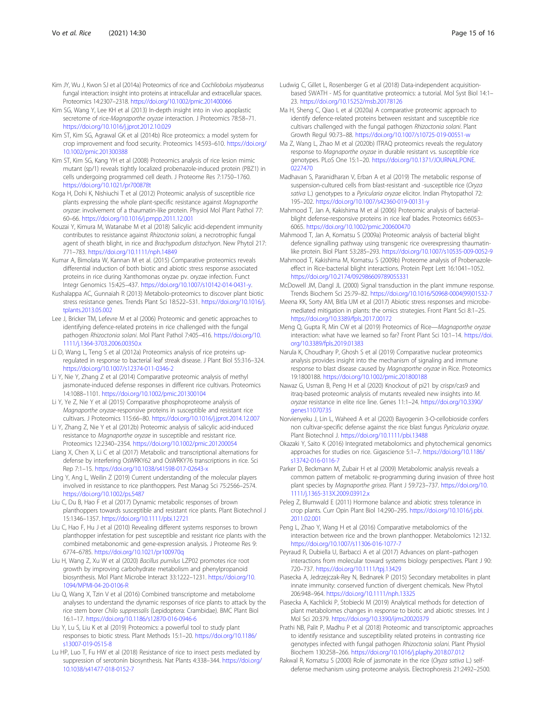- <span id="page-14-0"></span>Kim JY, Wu J, Kwon SJ et al (2014a) Proteomics of rice and Cochliobolus miyabeanus fungal interaction: insight into proteins at intracellular and extracellular spaces. Proteomics 14:2307–2318. <https://doi.org/10.1002/pmic.201400066>
- Kim SG, Wang Y, Lee KH et al (2013) In-depth insight into in vivo apoplastic secretome of rice-Magnaporthe oryzae interaction. J Proteomics 78:58–71. <https://doi.org/10.1016/j.jprot.2012.10.029>
- Kim ST, Kim SG, Agrawal GK et al (2014b) Rice proteomics: a model system for crop improvement and food security. Proteomics 14:593–610. [https://doi.org/](https://doi.org/10.1002/pmic.201300388) [10.1002/pmic.201300388](https://doi.org/10.1002/pmic.201300388)
- Kim ST, Kim SG, Kang YH et al (2008) Proteomics analysis of rice lesion mimic mutant (sp/1) reveals tightly localized probenazole-induced protein (PBZ1) in cells undergoing programmed cell death. J Proteome Res 7:1750–1760. <https://doi.org/10.1021/pr700878t>
- Koga H, Dohi K, Nishiuchi T et al (2012) Proteomic analysis of susceptible rice plants expressing the whole plant-specific resistance against Magnaporthe oryzae: involvement of a thaumatin-like protein. Physiol Mol Plant Pathol 77: 60–66. <https://doi.org/10.1016/j.pmpp.2011.12.001>
- Kouzai Y, Kimura M, Watanabe M et al (2018) Salicylic acid-dependent immunity contributes to resistance against Rhizoctonia solani, a necrotrophic fungal agent of sheath blight, in rice and Brachypodium distachyon. New Phytol 217: 771–783. <https://doi.org/10.1111/nph.14849>
- Kumar A, Bimolata W, Kannan M et al. (2015) Comparative proteomics reveals differential induction of both biotic and abiotic stress response associated proteins in rice during Xanthomonas oryzae pv. oryzae infection. Funct Integr Genomics 15:425–437. [https://doi.org/10.1007/s10142-014-0431-y.](https://doi.org/10.1007/s10142-014-0431-y)
- Kushalappa AC, Gunnaiah R (2013) Metabolo-proteomics to discover plant biotic stress resistance genes. Trends Plant Sci 18:522–531. [https://doi.org/10.1016/j.](https://doi.org/10.1016/j.tplants.2013.05.002) [tplants.2013.05.002](https://doi.org/10.1016/j.tplants.2013.05.002)
- Lee J, Bricker TM, Lefevre M et al (2006) Proteomic and genetic approaches to identifying defence-related proteins in rice challenged with the fungal pathogen Rhizoctonia solani. Mol Plant Pathol 7:405–416. [https://doi.org/10.](https://doi.org/10.1111/j.1364-3703.2006.00350.x) [1111/j.1364-3703.2006.00350.x](https://doi.org/10.1111/j.1364-3703.2006.00350.x)
- Li D, Wang L, Teng S et al (2012a) Proteomics analysis of rice proteins upregulated in response to bacterial leaf streak disease. J Plant Biol 55:316–324. <https://doi.org/10.1007/s12374-011-0346-2>
- Li Y, Nie Y, Zhang Z et al (2014) Comparative proteomic analysis of methyl jasmonate-induced defense responses in different rice cultivars. Proteomics 14:1088–1101. <https://doi.org/10.1002/pmic.201300104>
- Li Y, Ye Z, Nie Y et al (2015) Comparative phosphoproteome analysis of Magnaporthe oryzae-responsive proteins in susceptible and resistant rice cultivars. J Proteomics 115:66–80. <https://doi.org/10.1016/j.jprot.2014.12.007>
- Li Y, Zhang Z, Nie Y et al (2012b) Proteomic analysis of salicylic acid-induced resistance to Magnaporthe oryzae in susceptible and resistant rice. Proteomics 12:2340–2354. <https://doi.org/10.1002/pmic.201200054>
- Liang X, Chen X, Li C et al (2017) Metabolic and transcriptional alternations for defense by interfering OsWRKY62 and OsWRKY76 transcriptions in rice. Sci Rep 7:1–15. <https://doi.org/10.1038/s41598-017-02643-x>
- Ling Y, Ang L, Weilin Z (2019) Current understanding of the molecular players involved in resistance to rice planthoppers. Pest Manag Sci 75:2566–2574. <https://doi.org/10.1002/ps.5487>
- Liu C, Du B, Hao F et al (2017) Dynamic metabolic responses of brown planthoppers towards susceptible and resistant rice plants. Plant Biotechnol J 15:1346–1357. <https://doi.org/10.1111/pbi.12721>
- Liu C, Hao F, Hu J et al (2010) Revealing different systems responses to brown planthopper infestation for pest susceptible and resistant rice plants with the combined metabonomic and gene-expression analysis. J Proteome Res 9: 6774–6785. <https://doi.org/10.1021/pr100970q>
- Liu H, Wang Z, Xu W et al (2020) Bacillus pumilus LZP02 promotes rice root growth by improving carbohydrate metabolism and phenylpropanoid biosynthesis. Mol Plant Microbe Interact 33:1222–1231. [https://doi.org/10.](https://doi.org/10.1094/MPMI-04-20-0106-R) [1094/MPMI-04-20-0106-R](https://doi.org/10.1094/MPMI-04-20-0106-R)
- Liu Q, Wang X, Tzin V et al (2016) Combined transcriptome and metabolome analyses to understand the dynamic responses of rice plants to attack by the rice stem borer Chilo suppressalis (Lepidoptera: Crambidae). BMC Plant Biol 16:1–17. <https://doi.org/10.1186/s12870-016-0946-6>
- Liu Y, Lu S, Liu K et al (2019) Proteomics: a powerful tool to study plant responses to biotic stress. Plant Methods 15:1–20. [https://doi.org/10.1186/](https://doi.org/10.1186/s13007-019-0515-8) [s13007-019-0515-8](https://doi.org/10.1186/s13007-019-0515-8)
- Lu HP, Luo T, Fu HW et al (2018) Resistance of rice to insect pests mediated by suppression of serotonin biosynthesis. Nat Plants 4:338–344. [https://doi.org/](https://doi.org/10.1038/s41477-018-0152-7) [10.1038/s41477-018-0152-7](https://doi.org/10.1038/s41477-018-0152-7)
- Ludwig C, Gillet L, Rosenberger G et al (2018) Data-independent acquisitionbased SWATH - MS for quantitative proteomics: a tutorial. Mol Syst Biol 14:1– 23. <https://doi.org/10.15252/msb.20178126>
- Ma H, Sheng C, Qiao L et al (2020a) A comparative proteomic approach to identify defence-related proteins between resistant and susceptible rice cultivars challenged with the fungal pathogen Rhizoctonia solani. Plant Growth Regul 90:73–88. <https://doi.org/10.1007/s10725-019-00551-w>
- Ma Z, Wang L, Zhao M et al (2020b) ITRAQ proteomics reveals the regulatory response to Magnaporthe oryzae in durable resistant vs. susceptible rice genotypes. PLoS One 15:1–20. [https://doi.org/10.1371/JOURNAL.PONE.](https://doi.org/10.1371/JOURNAL.PONE.0227470) [0227470](https://doi.org/10.1371/JOURNAL.PONE.0227470)
- Madhavan S, Paranidharan V, Erban A et al (2019) The metabolic response of suspension-cultured cells from blast-resistant and -susceptible rice (Oryza sativa L.) genotypes to a Pyricularia oryzae elicitor. Indian Phytopathol 72: 195–202. <https://doi.org/10.1007/s42360-019-00131-y>
- Mahmood T, Jan A, Kakishima M et al (2006) Proteomic analysis of bacterialblight defense-responsive proteins in rice leaf blades. Proteomics 6:6053– 6065. <https://doi.org/10.1002/pmic.200600470>
- Mahmood T, Jan A, Komatsu S (2009a) Proteomic analysis of bacterial blight defence signalling pathway using transgenic rice overexpressing thaumatinlike protein. Biol Plant 53:285–293. <https://doi.org/10.1007/s10535-009-0052-9>
- Mahmood T, Kakishima M, Komatsu S (2009b) Proteome analysis of Probenazoleeffect in Rice-bacterial blight interactions. Protein Pept Lett 16:1041–1052. <https://doi.org/10.2174/092986609789055331>
- McDowell JM, Dangl JL (2000) Signal transduction in the plant immune response. Trends Biochem Sci 25:79–82. [https://doi.org/10.1016/S0968-0004\(99\)01532-7](https://doi.org/10.1016/S0968-0004(99)01532-7)
- Meena KK, Sorty AM, Bitla UM et al (2017) Abiotic stress responses and microbemediated mitigation in plants: the omics strategies. Front Plant Sci 8:1–25. <https://doi.org/10.3389/fpls.2017.00172>
- Meng Q, Gupta R, Min CW et al (2019) Proteomics of Rice—Magnaporthe oryzae interaction: what have we learned so far? Front Plant Sci 10:1–14. [https://doi.](https://doi.org/10.3389/fpls.2019.01383) [org/10.3389/fpls.2019.01383](https://doi.org/10.3389/fpls.2019.01383)
- Narula K, Choudhary P, Ghosh S et al (2019) Comparative nuclear proteomics analysis provides insight into the mechanism of signaling and immune response to blast disease caused by Magnaporthe oryzae in Rice. Proteomics 19:1800188. <https://doi.org/10.1002/pmic.201800188>
- Nawaz G, Usman B, Peng H et al (2020) Knockout of pi21 by crispr/cas9 and itraq-based proteomic analysis of mutants revealed new insights into M. oryzae resistance in elite rice line. Genes 11:1–24. [https://doi.org/10.3390/](https://doi.org/10.3390/genes11070735) [genes11070735](https://doi.org/10.3390/genes11070735)
- Norvienyeku J, Lin L, Waheed A et al (2020) Bayogenin 3-O-cellobioside confers non cultivar-specific defense against the rice blast fungus Pyricularia oryzae. Plant Biotechnol J. <https://doi.org/10.1111/pbi.13488>
- Okazaki Y, Saito K (2016) Integrated metabolomics and phytochemical genomics approaches for studies on rice. Gigascience 5:1–7. [https://doi.org/10.1186/](https://doi.org/10.1186/s13742-016-0116-7) [s13742-016-0116-7](https://doi.org/10.1186/s13742-016-0116-7)
- Parker D, Beckmann M, Zubair H et al (2009) Metabolomic analysis reveals a common pattern of metabolic re-programming during invasion of three host plant species by Magnaporthe grisea. Plant J 59:723–737. [https://doi.org/10.](https://doi.org/10.1111/j.1365-313X.2009.03912.x) [1111/j.1365-313X.2009.03912.x](https://doi.org/10.1111/j.1365-313X.2009.03912.x)
- Peleg Z, Blumwald E (2011) Hormone balance and abiotic stress tolerance in crop plants. Curr Opin Plant Biol 14:290–295. [https://doi.org/10.1016/j.pbi.](https://doi.org/10.1016/j.pbi.2011.02.001) [2011.02.001](https://doi.org/10.1016/j.pbi.2011.02.001)
- Peng L, Zhao Y, Wang H et al (2016) Comparative metabolomics of the interaction between rice and the brown planthopper. Metabolomics 12:132. <https://doi.org/10.1007/s11306-016-1077-7>
- Peyraud R, Dubiella U, Barbacci A et al (2017) Advances on plant–pathogen interactions from molecular toward systems biology perspectives. Plant J 90: 720–737. <https://doi.org/10.1111/tpj.13429>
- Piasecka A, Jedrzejczak-Rey N, Bednarek P (2015) Secondary metabolites in plant innate immunity: conserved function of divergent chemicals. New Phytol 206:948–964. <https://doi.org/10.1111/nph.13325>
- Piasecka A, Kachlicki P, Stobiecki M (2019) Analytical methods for detection of plant metabolomes changes in response to biotic and abiotic stresses. Int J Mol Sci 20:379. <https://doi.org/10.3390/ijms20020379>
- Prathi NB, Palit P, Madhu P et al (2018) Proteomic and transcriptomic approaches to identify resistance and susceptibility related proteins in contrasting rice genotypes infected with fungal pathogen Rhizoctonia solani. Plant Physiol Biochem 130:258–266. <https://doi.org/10.1016/j.plaphy.2018.07.012>
- Rakwal R, Komatsu S (2000) Role of jasmonate in the rice (Oryza sativa L.) selfdefense mechanism using proteome analysis. Electrophoresis 21:2492–2500.